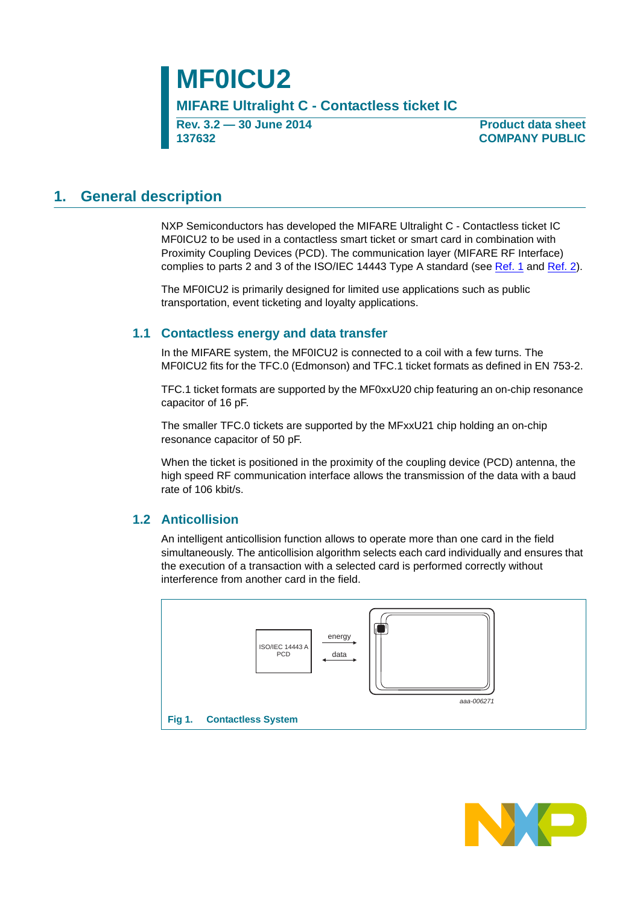**Rev. 3.2 — 30 June 2014 137632**

**Product data sheet COMPANY PUBLIC**

### <span id="page-0-1"></span>**1. General description**

NXP Semiconductors has developed the MIFARE Ultralight C - Contactless ticket IC MF0ICU2 to be used in a contactless smart ticket or smart card in combination with Proximity Coupling Devices (PCD). The communication layer (MIFARE RF Interface) complies to parts 2 and 3 of the ISO/IEC 14443 Type A standard (see [Ref. 1](#page-36-0) and [Ref. 2](#page-36-1)).

The MF0ICU2 is primarily designed for limited use applications such as public transportation, event ticketing and loyalty applications.

#### <span id="page-0-2"></span>**1.1 Contactless energy and data transfer**

In the MIFARE system, the MF0ICU2 is connected to a coil with a few turns. The MF0ICU2 fits for the TFC.0 (Edmonson) and TFC.1 ticket formats as defined in EN 753-2.

TFC.1 ticket formats are supported by the MF0xxU20 chip featuring an on-chip resonance capacitor of 16 pF.

The smaller TFC.0 tickets are supported by the MFxxU21 chip holding an on-chip resonance capacitor of 50 pF.

When the ticket is positioned in the proximity of the coupling device (PCD) antenna, the high speed RF communication interface allows the transmission of the data with a baud rate of 106 kbit/s.

#### <span id="page-0-3"></span>**1.2 Anticollision**

An intelligent anticollision function allows to operate more than one card in the field simultaneously. The anticollision algorithm selects each card individually and ensures that the execution of a transaction with a selected card is performed correctly without interference from another card in the field.

<span id="page-0-0"></span>

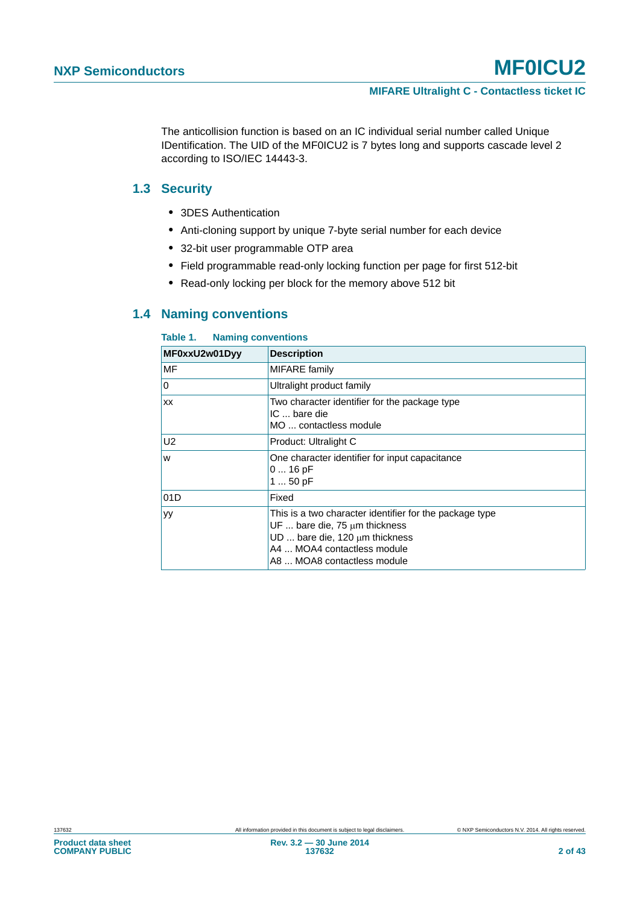The anticollision function is based on an IC individual serial number called Unique IDentification. The UID of the MF0ICU2 is 7 bytes long and supports cascade level 2 according to ISO/IEC 14443-3.

#### <span id="page-1-1"></span>**1.3 Security**

- **•** 3DES Authentication
- **•** Anti-cloning support by unique 7-byte serial number for each device
- **•** 32-bit user programmable OTP area
- **•** Field programmable read-only locking function per page for first 512-bit
- **•** Read-only locking per block for the memory above 512 bit

#### <span id="page-1-2"></span>**1.4 Naming conventions**

#### <span id="page-1-0"></span>**Table 1. Naming conventions**

| MF0xxU2w01Dyy | <b>Description</b>                                                                                                                                                                                         |
|---------------|------------------------------------------------------------------------------------------------------------------------------------------------------------------------------------------------------------|
| MF            | <b>MIFARE</b> family                                                                                                                                                                                       |
| 0             | Ultralight product family                                                                                                                                                                                  |
| XX            | Two character identifier for the package type<br>IC  bare die<br>MO  contactless module                                                                                                                    |
| U2            | Product: Ultralight C                                                                                                                                                                                      |
| W             | One character identifier for input capacitance<br>$016$ pF<br>1  50 pF                                                                                                                                     |
| 01D           | Fixed                                                                                                                                                                                                      |
| уy            | This is a two character identifier for the package type<br>UF $\ldots$ bare die, 75 $\mu$ m thickness<br>UD  bare die, 120 $\mu$ m thickness<br>A4  MOA4 contactless module<br>A8  MOA8 contactless module |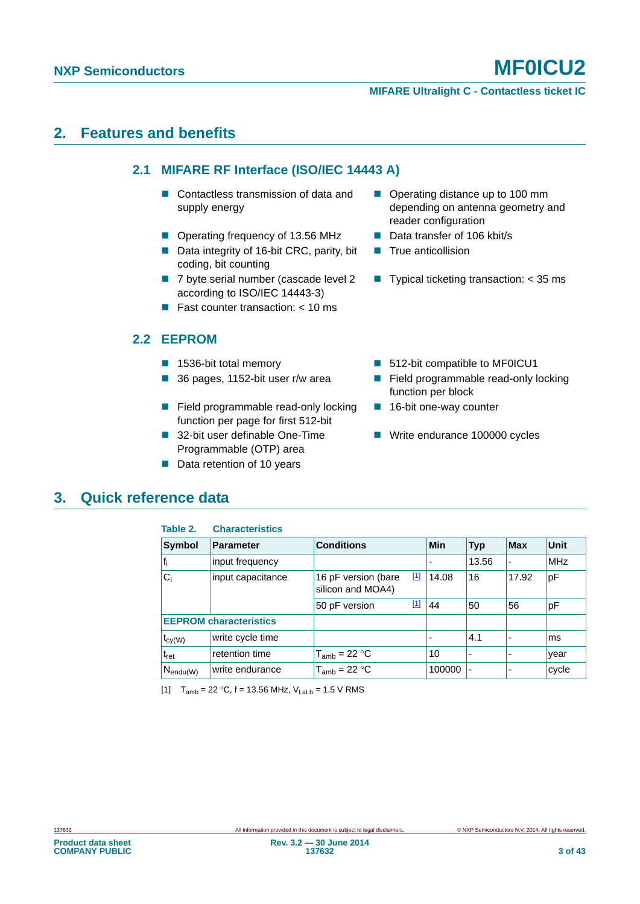**MIFARE Ultralight C - Contactless ticket IC**

### <span id="page-2-3"></span><span id="page-2-2"></span>**2. Features and benefits**

#### **2.1 MIFARE RF Interface (ISO/IEC 14443 A)**

- Contactless transmission of data and supply energy
- Operating frequency of 13.56 MHz Data transfer of 106 kbit/s
- Data integrity of 16-bit CRC, parity, bit coding, bit counting
- 7 byte serial number (cascade level 2 according to ISO/IEC 14443-3)
- **Fast counter transaction:**  $<$  10 ms

#### <span id="page-2-4"></span>**2.2 EEPROM**

- 
- 
- Field programmable read-only locking function per page for first 512-bit
- 32-bit user definable One-Time Programmable (OTP) area
- Data retention of 10 years
- Operating distance up to 100 mm depending on antenna geometry and reader configuration
- 
- $\blacksquare$  True anticollision
- **Typical ticketing transaction:**  $<$  35 ms
- 1536-bit total memory 512-bit compatible to MF0ICU1
- 36 pages, 1152-bit user r/w area **■** Field programmable read-only locking function per block
	- 16-bit one-way counter
	- Write endurance 100000 cycles

### <span id="page-2-5"></span>**3. Quick reference data**

<span id="page-2-1"></span>

| Table 2.                          | <b>Characteristics</b>        |                                          |                                                                                                                                                                                                                                                                                            |        |                |            |             |
|-----------------------------------|-------------------------------|------------------------------------------|--------------------------------------------------------------------------------------------------------------------------------------------------------------------------------------------------------------------------------------------------------------------------------------------|--------|----------------|------------|-------------|
| <b>Symbol</b>                     | <b>Parameter</b>              | <b>Conditions</b>                        |                                                                                                                                                                                                                                                                                            | Min    | <b>Typ</b>     | <b>Max</b> | <b>Unit</b> |
| $f_i$                             | input frequency               |                                          |                                                                                                                                                                                                                                                                                            |        | 13.56          |            | MHz         |
| $C_i$                             | input capacitance             | 16 pF version (bare<br>silicon and MOA4) | $\boxed{1}$                                                                                                                                                                                                                                                                                | 14.08  | 16             | 17.92      | pF          |
|                                   |                               | 50 pF version                            | $[1] % \centering \includegraphics[width=0.9\columnwidth]{figures/fig_10.pdf} \caption{The figure shows the number of times on the right, and the number of times on the right, respectively. The left and right is the number of times on the right, respectively.} \label{fig:fig:time}$ | 44     | 50             | 56         | рF          |
|                                   | <b>EEPROM characteristics</b> |                                          |                                                                                                                                                                                                                                                                                            |        |                |            |             |
| $t_{\text{cy(W)}}$                | write cycle time              |                                          |                                                                                                                                                                                                                                                                                            |        | 4.1            |            | ms          |
| $t_{\sf ret}$                     | retention time                | $T_{amb}$ = 22 °C                        |                                                                                                                                                                                                                                                                                            | 10     |                |            | year        |
| <sub>l</sub> N <sub>endu(W)</sub> | write endurance               | $T_{amb}$ = 22 °C                        |                                                                                                                                                                                                                                                                                            | 100000 | $\blacksquare$ |            | cycle       |

<span id="page-2-0"></span>[1]  $T_{amb} = 22 °C$ , f = 13.56 MHz,  $V_{Lab} = 1.5 V$  RMS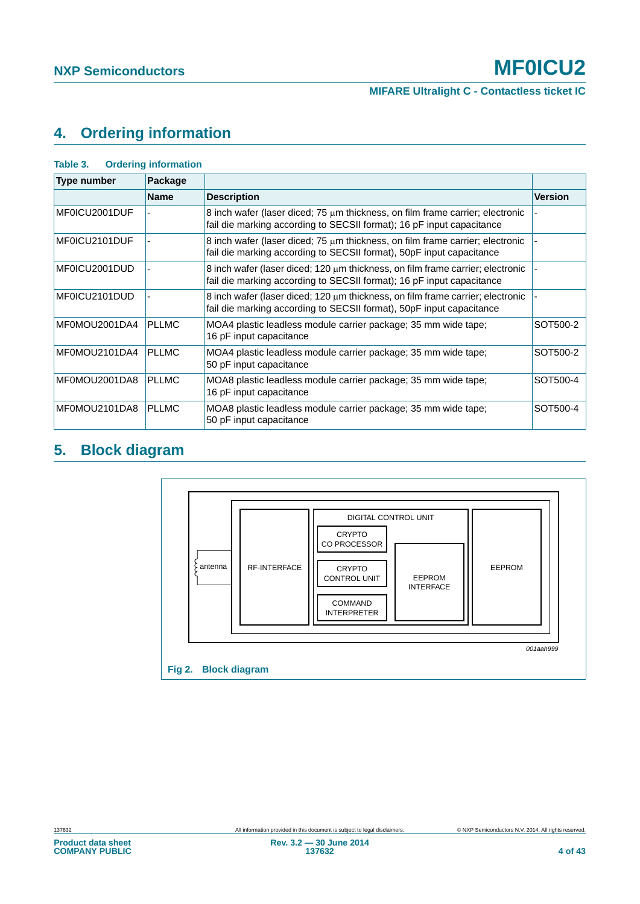## <span id="page-3-2"></span>**4. Ordering information**

<span id="page-3-0"></span>

| Table 3.      | <b>Ordering information</b> |                                                                                                                                                             |                |  |  |  |  |
|---------------|-----------------------------|-------------------------------------------------------------------------------------------------------------------------------------------------------------|----------------|--|--|--|--|
| Type number   | Package                     |                                                                                                                                                             |                |  |  |  |  |
|               | <b>Name</b>                 | <b>Description</b>                                                                                                                                          | <b>Version</b> |  |  |  |  |
| MF0ICU2001DUF |                             | 8 inch wafer (laser diced; $75 \mu m$ thickness, on film frame carrier; electronic<br>fail die marking according to SECSII format); 16 pF input capacitance |                |  |  |  |  |
| MF0ICU2101DUF |                             | 8 inch wafer (laser diced; 75 $\mu$ m thickness, on film frame carrier; electronic<br>fail die marking according to SECSII format), 50pF input capacitance  |                |  |  |  |  |
| MF0ICU2001DUD |                             | 8 inch wafer (laser diced; 120 µm thickness, on film frame carrier; electronic<br>fail die marking according to SECSII format); 16 pF input capacitance     |                |  |  |  |  |
| MF0ICU2101DUD |                             | 8 inch wafer (laser diced; $120 \mu m$ thickness, on film frame carrier; electronic<br>fail die marking according to SECSII format), 50pF input capacitance |                |  |  |  |  |
| MF0MOU2001DA4 | <b>PLLMC</b>                | MOA4 plastic leadless module carrier package; 35 mm wide tape;<br>16 pF input capacitance                                                                   | SOT500-2       |  |  |  |  |
| MF0MOU2101DA4 | <b>PLLMC</b>                | MOA4 plastic leadless module carrier package; 35 mm wide tape;<br>50 pF input capacitance                                                                   | SOT500-2       |  |  |  |  |
| MF0MOU2001DA8 | <b>PLLMC</b>                | MOA8 plastic leadless module carrier package; 35 mm wide tape;<br>16 pF input capacitance                                                                   | SOT500-4       |  |  |  |  |
| MF0MOU2101DA8 | <b>PLLMC</b>                | MOA8 plastic leadless module carrier package; 35 mm wide tape;<br>50 pF input capacitance                                                                   | SOT500-4       |  |  |  |  |

## <span id="page-3-3"></span>**5. Block diagram**

<span id="page-3-1"></span>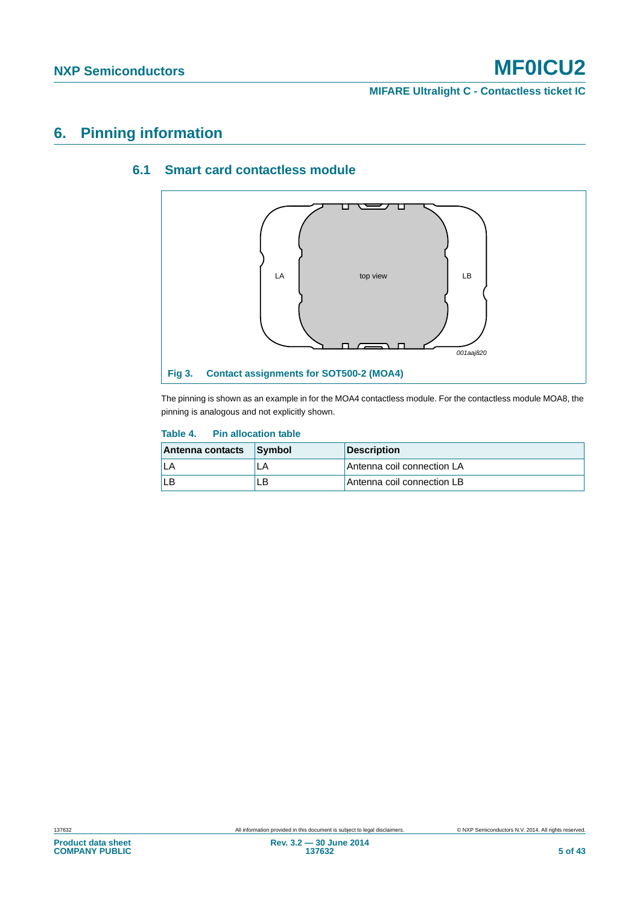**MIFARE Ultralight C - Contactless ticket IC**

### <span id="page-4-3"></span><span id="page-4-2"></span>**6. Pinning information**

#### **6.1 Smart card contactless module**



<span id="page-4-1"></span>The pinning is shown as an example in for the MOA4 contactless module. For the contactless module MOA8, the pinning is analogous and not explicitly shown.

#### <span id="page-4-0"></span>**Table 4. Pin allocation table**

| Antenna contacts | <b>Symbol</b> | <b>Description</b>         |
|------------------|---------------|----------------------------|
|                  |               | Antenna coil connection LA |
| ILB              | ∟B            | Antenna coil connection LB |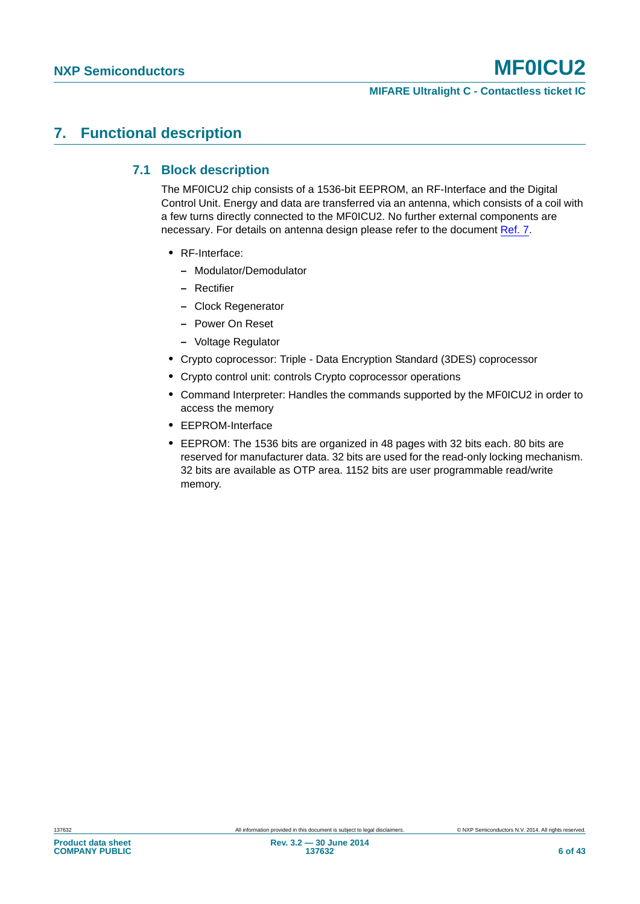#### **MIFARE Ultralight C - Contactless ticket IC**

### <span id="page-5-1"></span><span id="page-5-0"></span>**7. Functional description**

#### **7.1 Block description**

The MF0ICU2 chip consists of a 1536-bit EEPROM, an RF-Interface and the Digital Control Unit. Energy and data are transferred via an antenna, which consists of a coil with a few turns directly connected to the MF0ICU2. No further external components are necessary. For details on antenna design please refer to the document [Ref. 7](#page-36-2).

- **•** RF-Interface:
	- **–** Modulator/Demodulator
	- **–** Rectifier
	- **–** Clock Regenerator
	- **–** Power On Reset
	- **–** Voltage Regulator
- **•** Crypto coprocessor: Triple Data Encryption Standard (3DES) coprocessor
- **•** Crypto control unit: controls Crypto coprocessor operations
- **•** Command Interpreter: Handles the commands supported by the MF0ICU2 in order to access the memory
- **•** EEPROM-Interface
- **•** EEPROM: The 1536 bits are organized in 48 pages with 32 bits each. 80 bits are reserved for manufacturer data. 32 bits are used for the read-only locking mechanism. 32 bits are available as OTP area. 1152 bits are user programmable read/write memory.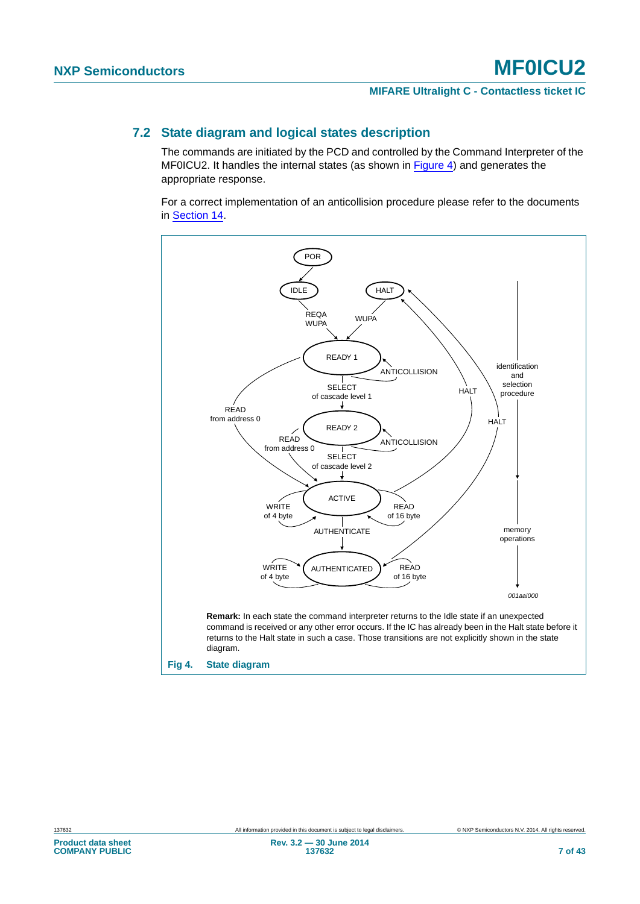#### <span id="page-6-1"></span>**7.2 State diagram and logical states description**

The commands are initiated by the PCD and controlled by the Command Interpreter of the MF0ICU2. It handles the internal states (as shown in [Figure 4\)](#page-6-0) and generates the appropriate response.

For a correct implementation of an anticollision procedure please refer to the documents in [Section 14.](#page-36-3)

<span id="page-6-0"></span>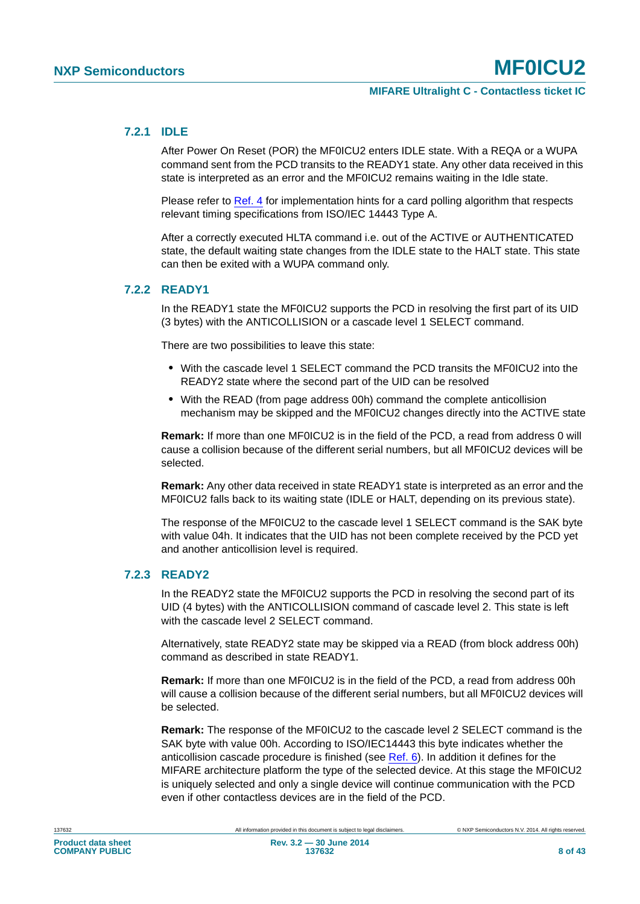#### <span id="page-7-0"></span>**7.2.1 IDLE**

After Power On Reset (POR) the MF0ICU2 enters IDLE state. With a REQA or a WUPA command sent from the PCD transits to the READY1 state. Any other data received in this state is interpreted as an error and the MF0ICU2 remains waiting in the Idle state.

Please refer to [Ref. 4](#page-36-4) for implementation hints for a card polling algorithm that respects relevant timing specifications from ISO/IEC 14443 Type A.

After a correctly executed HLTA command i.e. out of the ACTIVE or AUTHENTICATED state, the default waiting state changes from the IDLE state to the HALT state. This state can then be exited with a WUPA command only.

#### <span id="page-7-1"></span>**7.2.2 READY1**

In the READY1 state the MF0ICU2 supports the PCD in resolving the first part of its UID (3 bytes) with the ANTICOLLISION or a cascade level 1 SELECT command.

There are two possibilities to leave this state:

- **•** With the cascade level 1 SELECT command the PCD transits the MF0ICU2 into the READY2 state where the second part of the UID can be resolved
- **•** With the READ (from page address 00h) command the complete anticollision mechanism may be skipped and the MF0ICU2 changes directly into the ACTIVE state

**Remark:** If more than one MF0ICU2 is in the field of the PCD, a read from address 0 will cause a collision because of the different serial numbers, but all MF0ICU2 devices will be selected.

**Remark:** Any other data received in state READY1 state is interpreted as an error and the MF0ICU2 falls back to its waiting state (IDLE or HALT, depending on its previous state).

The response of the MF0ICU2 to the cascade level 1 SELECT command is the SAK byte with value 04h. It indicates that the UID has not been complete received by the PCD yet and another anticollision level is required.

#### <span id="page-7-2"></span>**7.2.3 READY2**

In the READY2 state the MF0ICU2 supports the PCD in resolving the second part of its UID (4 bytes) with the ANTICOLLISION command of cascade level 2. This state is left with the cascade level 2 SELECT command.

Alternatively, state READY2 state may be skipped via a READ (from block address 00h) command as described in state READY1.

**Remark:** If more than one MF0ICU2 is in the field of the PCD, a read from address 00h will cause a collision because of the different serial numbers, but all MF0ICU2 devices will be selected.

**Remark:** The response of the MF0ICU2 to the cascade level 2 SELECT command is the SAK byte with value 00h. According to ISO/IEC14443 this byte indicates whether the anticollision cascade procedure is finished (see [Ref. 6](#page-36-5)). In addition it defines for the MIFARE architecture platform the type of the selected device. At this stage the MF0ICU2 is uniquely selected and only a single device will continue communication with the PCD even if other contactless devices are in the field of the PCD.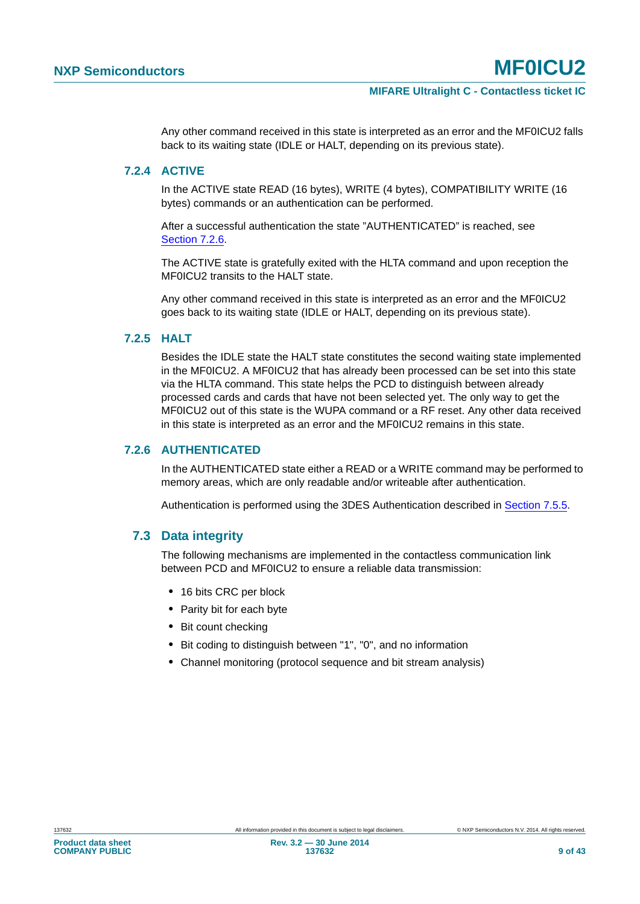Any other command received in this state is interpreted as an error and the MF0ICU2 falls back to its waiting state (IDLE or HALT, depending on its previous state).

#### <span id="page-8-1"></span>**7.2.4 ACTIVE**

In the ACTIVE state READ (16 bytes), WRITE (4 bytes), COMPATIBILITY WRITE (16 bytes) commands or an authentication can be performed.

After a successful authentication the state "AUTHENTICATED" is reached, see [Section 7.2.6](#page-8-0).

The ACTIVE state is gratefully exited with the HLTA command and upon reception the MF0ICU2 transits to the HALT state.

Any other command received in this state is interpreted as an error and the MF0ICU2 goes back to its waiting state (IDLE or HALT, depending on its previous state).

#### <span id="page-8-2"></span>**7.2.5 HALT**

Besides the IDLE state the HALT state constitutes the second waiting state implemented in the MF0ICU2. A MF0ICU2 that has already been processed can be set into this state via the HLTA command. This state helps the PCD to distinguish between already processed cards and cards that have not been selected yet. The only way to get the MF0ICU2 out of this state is the WUPA command or a RF reset. Any other data received in this state is interpreted as an error and the MF0ICU2 remains in this state.

#### <span id="page-8-0"></span>**7.2.6 AUTHENTICATED**

In the AUTHENTICATED state either a READ or a WRITE command may be performed to memory areas, which are only readable and/or writeable after authentication.

Authentication is performed using the 3DES Authentication described in [Section 7.5.5.](#page-14-0)

#### <span id="page-8-3"></span>**7.3 Data integrity**

The following mechanisms are implemented in the contactless communication link between PCD and MF0ICU2 to ensure a reliable data transmission:

- **•** 16 bits CRC per block
- **•** Parity bit for each byte
- **•** Bit count checking
- **•** Bit coding to distinguish between "1", "0", and no information
- **•** Channel monitoring (protocol sequence and bit stream analysis)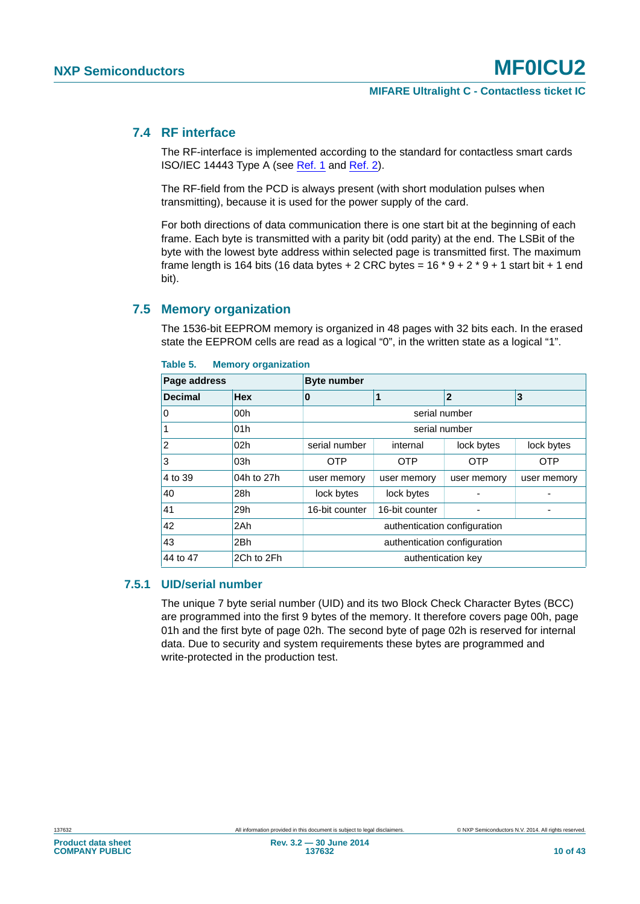#### <span id="page-9-1"></span>**7.4 RF interface**

The RF-interface is implemented according to the standard for contactless smart cards ISO/IEC 14443 Type A (see [Ref. 1](#page-36-0) and [Ref. 2\)](#page-36-1).

The RF-field from the PCD is always present (with short modulation pulses when transmitting), because it is used for the power supply of the card.

For both directions of data communication there is one start bit at the beginning of each frame. Each byte is transmitted with a parity bit (odd parity) at the end. The LSBit of the byte with the lowest byte address within selected page is transmitted first. The maximum frame length is 164 bits (16 data bytes  $+ 2$  CRC bytes = 16  $*$  9  $+ 2$   $*$  9  $+ 1$  start bit  $+ 1$  end bit).

#### <span id="page-9-2"></span>**7.5 Memory organization**

The 1536-bit EEPROM memory is organized in 48 pages with 32 bits each. In the erased state the EEPROM cells are read as a logical "0", in the written state as a logical "1".

|                | Page address    |                              | <b>Byte number</b>     |             |             |  |  |  |
|----------------|-----------------|------------------------------|------------------------|-------------|-------------|--|--|--|
| <b>Decimal</b> | <b>Hex</b>      | 0                            | 3<br>$\mathbf{2}$<br>1 |             |             |  |  |  |
| 0              | 00h             |                              | serial number          |             |             |  |  |  |
|                | 01h             |                              | serial number          |             |             |  |  |  |
| 2              | 02 <sub>h</sub> | serial number                | internal               | lock bytes  | lock bytes  |  |  |  |
| 3              | 03h             | <b>OTP</b>                   | OTP                    | <b>OTP</b>  | <b>OTP</b>  |  |  |  |
| 4 to 39        | 04h to 27h      | user memory                  | user memory            | user memory | user memory |  |  |  |
| 40             | 28h             | lock bytes                   | lock bytes             |             |             |  |  |  |
| 41             | 29h             | 16-bit counter               | 16-bit counter         |             |             |  |  |  |
| 42             | 2Ah             | authentication configuration |                        |             |             |  |  |  |
| 43             | 2Bh             | authentication configuration |                        |             |             |  |  |  |
| 44 to 47       | 2Ch to 2Fh      |                              | authentication key     |             |             |  |  |  |

#### <span id="page-9-0"></span>**Table 5. Memory organization**

#### <span id="page-9-3"></span>**7.5.1 UID/serial number**

The unique 7 byte serial number (UID) and its two Block Check Character Bytes (BCC) are programmed into the first 9 bytes of the memory. It therefore covers page 00h, page 01h and the first byte of page 02h. The second byte of page 02h is reserved for internal data. Due to security and system requirements these bytes are programmed and write-protected in the production test.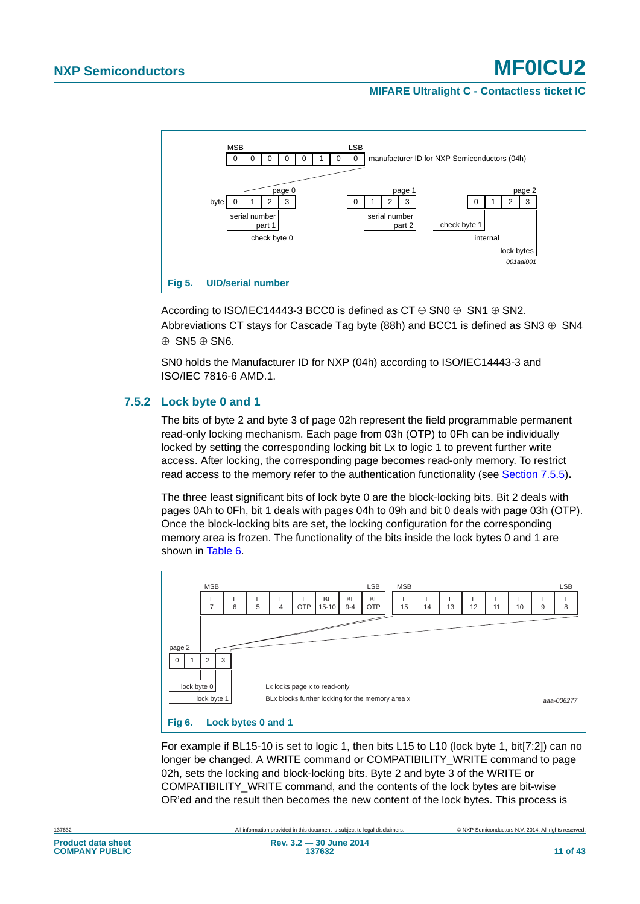#### **MIFARE Ultralight C - Contactless ticket IC**



<span id="page-10-2"></span>According to ISO/IEC14443-3 BCC0 is defined as  $CT \oplus SNO \oplus SN1 \oplus SN2$ . Abbreviations CT stays for Cascade Tag byte (88h) and BCC1 is defined as SN3  $\oplus$  SN4  $\oplus$  SN5  $\oplus$  SN6.

SN0 holds the Manufacturer ID for NXP (04h) according to ISO/IEC14443-3 and ISO/IEC 7816-6 AMD.1.

#### <span id="page-10-1"></span>**7.5.2 Lock byte 0 and 1**

The bits of byte 2 and byte 3 of page 02h represent the field programmable permanent read-only locking mechanism. Each page from 03h (OTP) to 0Fh can be individually locked by setting the corresponding locking bit Lx to logic 1 to prevent further write access. After locking, the corresponding page becomes read-only memory. To restrict read access to the memory refer to the authentication functionality (see [Section 7.5.5\)](#page-14-0)**.**

The three least significant bits of lock byte 0 are the block-locking bits. Bit 2 deals with pages 0Ah to 0Fh, bit 1 deals with pages 04h to 09h and bit 0 deals with page 03h (OTP). Once the block-locking bits are set, the locking configuration for the corresponding memory area is frozen. The functionality of the bits inside the lock bytes 0 and 1 are shown in [Table 6.](#page-11-0)



<span id="page-10-0"></span>For example if BL15-10 is set to logic 1, then bits L15 to L10 (lock byte 1, bit[7:2]) can no longer be changed. A WRITE command or COMPATIBILITY\_WRITE command to page 02h, sets the locking and block-locking bits. Byte 2 and byte 3 of the WRITE or COMPATIBILITY\_WRITE command, and the contents of the lock bytes are bit-wise OR'ed and the result then becomes the new content of the lock bytes. This process is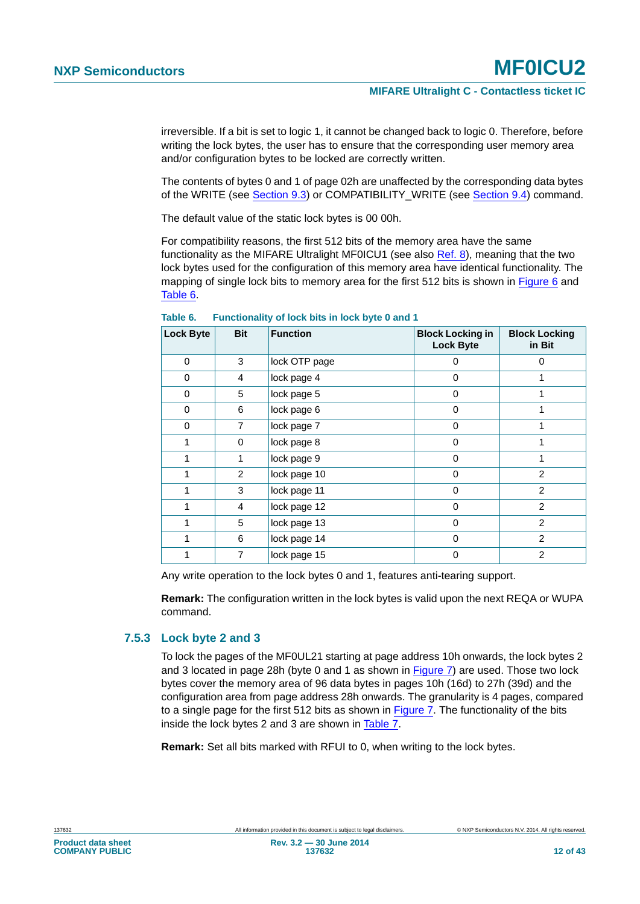irreversible. If a bit is set to logic 1, it cannot be changed back to logic 0. Therefore, before writing the lock bytes, the user has to ensure that the corresponding user memory area and/or configuration bytes to be locked are correctly written.

The contents of bytes 0 and 1 of page 02h are unaffected by the corresponding data bytes of the WRITE (see [Section 9.3](#page-25-0)) or COMPATIBILITY\_WRITE (see [Section 9.4](#page-26-0)) command.

The default value of the static lock bytes is 00 00h.

For compatibility reasons, the first 512 bits of the memory area have the same functionality as the MIFARE Ultralight MF0ICU1 (see also [Ref. 8](#page-36-6)), meaning that the two lock bytes used for the configuration of this memory area have identical functionality. The mapping of single lock bits to memory area for the first 512 bits is shown in [Figure 6](#page-10-0) and [Table 6](#page-11-0).

| <b>Lock Byte</b> | <b>Bit</b>     | <b>Function</b> | <b>Block Locking in</b><br><b>Lock Byte</b> | <b>Block Locking</b><br>in Bit |
|------------------|----------------|-----------------|---------------------------------------------|--------------------------------|
| $\Omega$         | 3              | lock OTP page   | 0                                           | $\Omega$                       |
| 0                | 4              | lock page 4     | 0                                           |                                |
| 0                | 5              | lock page 5     | 0                                           |                                |
| 0                | 6              | lock page 6     | 0                                           |                                |
| 0                | 7              | lock page 7     | 0                                           |                                |
| 1                | 0              | lock page 8     | $\Omega$                                    |                                |
| 1                | 1              | lock page 9     | 0                                           |                                |
| 1                | $\overline{2}$ | lock page 10    | $\Omega$                                    | $\mathfrak{p}$                 |
| 1                | 3              | lock page 11    | $\Omega$                                    | 2                              |
| 1                | 4              | lock page 12    | $\Omega$                                    | $\mathfrak{p}$                 |
| 1                | 5              | lock page 13    | $\Omega$                                    | 2                              |
| 1                | 6              | lock page 14    | 0                                           | $\mathfrak{p}$                 |
|                  | 7              | lock page 15    | $\Omega$                                    | 2                              |

<span id="page-11-0"></span>**Table 6. Functionality of lock bits in lock byte 0 and 1**

Any write operation to the lock bytes 0 and 1, features anti-tearing support.

**Remark:** The configuration written in the lock bytes is valid upon the next REQA or WUPA command.

#### <span id="page-11-1"></span>**7.5.3 Lock byte 2 and 3**

To lock the pages of the MF0UL21 starting at page address 10h onwards, the lock bytes 2 and 3 located in page 28h (byte 0 and 1 as shown in [Figure 7](#page-12-0)) are used. Those two lock bytes cover the memory area of 96 data bytes in pages 10h (16d) to 27h (39d) and the configuration area from page address 28h onwards. The granularity is 4 pages, compared to a single page for the first 512 bits as shown in [Figure 7](#page-12-0). The functionality of the bits inside the lock bytes 2 and 3 are shown in [Table 7.](#page-12-1)

**Remark:** Set all bits marked with RFUI to 0, when writing to the lock bytes.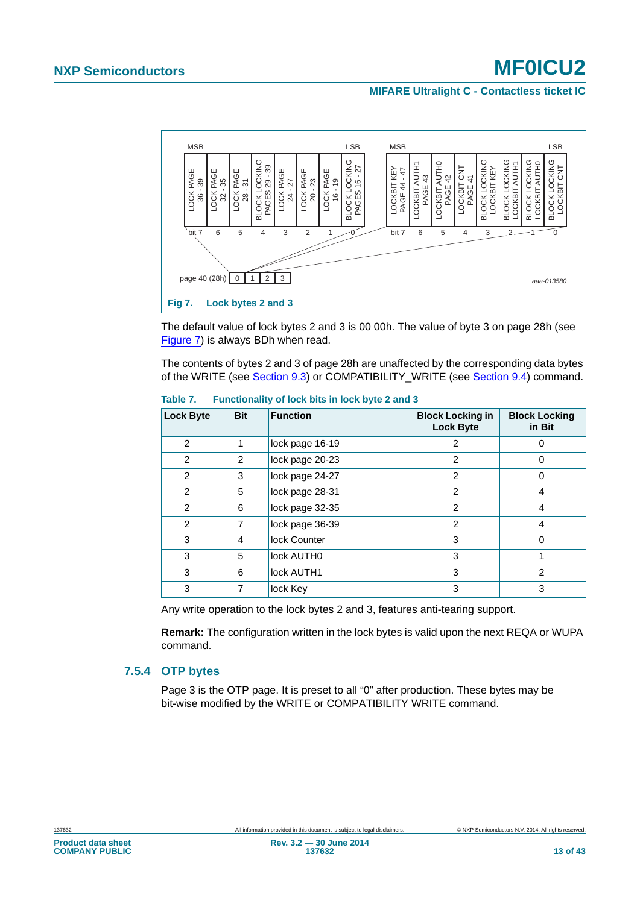#### **MIFARE Ultralight C - Contactless ticket IC**



<span id="page-12-0"></span>The default value of lock bytes 2 and 3 is 00 00h. The value of byte 3 on page 28h (see [Figure 7\)](#page-12-0) is always BDh when read.

The contents of bytes 2 and 3 of page 28h are unaffected by the corresponding data bytes of the WRITE (see [Section 9.3](#page-25-0)) or COMPATIBILITY\_WRITE (see [Section 9.4](#page-26-0)) command.

| <b>Lock Byte</b> | <b>Bit</b>     | <b>Function</b> | <b>Block Locking in</b><br><b>Lock Byte</b> | <b>Block Locking</b><br>in Bit |
|------------------|----------------|-----------------|---------------------------------------------|--------------------------------|
| $\mathfrak{p}$   | 1              | lock page 16-19 | 2                                           | <sup>0</sup>                   |
| $\mathfrak{p}$   | $\overline{2}$ | lock page 20-23 | $\mathfrak{p}$                              | $\Omega$                       |
| $\mathfrak{p}$   | 3              | lock page 24-27 | $\overline{2}$                              | $\Omega$                       |
| $\overline{2}$   | 5              | lock page 28-31 | $\overline{2}$                              | 4                              |
| $\overline{2}$   | 6              | lock page 32-35 | $\overline{2}$                              | 4                              |
| $\overline{2}$   | 7              | lock page 36-39 | $\mathfrak{p}$                              | 4                              |
| 3                | 4              | lock Counter    | 3                                           | $\Omega$                       |
| 3                | 5              | lock AUTH0      | 3                                           |                                |
| 3                | 6              | lock AUTH1      | 3                                           | $\mathcal{P}$                  |
| 3                | 7              | lock Key        | 3                                           | 3                              |

<span id="page-12-1"></span>**Table 7. Functionality of lock bits in lock byte 2 and 3**

Any write operation to the lock bytes 2 and 3, features anti-tearing support.

**Remark:** The configuration written in the lock bytes is valid upon the next REQA or WUPA command.

#### <span id="page-12-2"></span>**7.5.4 OTP bytes**

Page 3 is the OTP page. It is preset to all "0" after production. These bytes may be bit-wise modified by the WRITE or COMPATIBILITY WRITE command.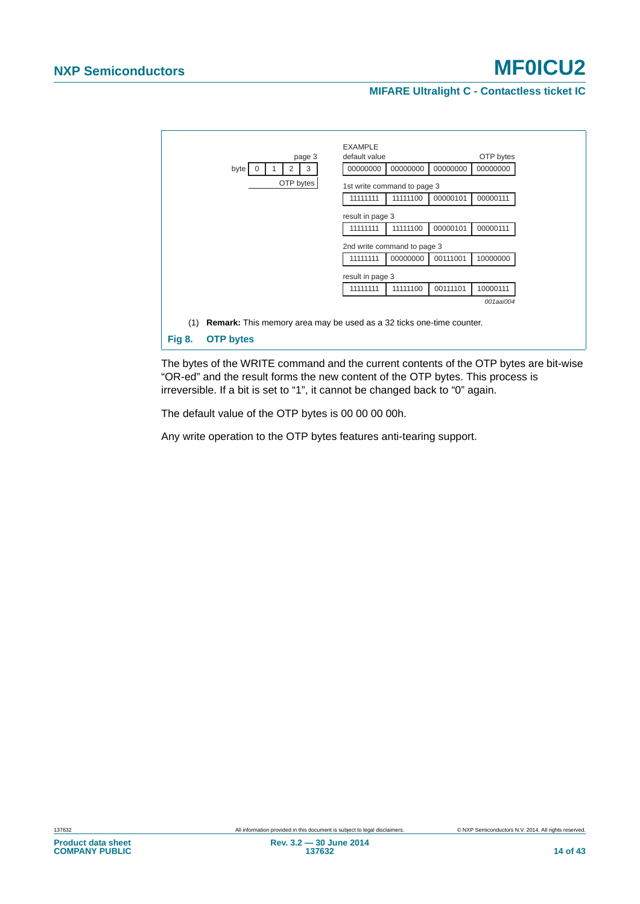#### **MIFARE Ultralight C - Contactless ticket IC**



<span id="page-13-0"></span>The bytes of the WRITE command and the current contents of the OTP bytes are bit-wise "OR-ed" and the result forms the new content of the OTP bytes. This process is irreversible. If a bit is set to "1", it cannot be changed back to "0" again.

The default value of the OTP bytes is 00 00 00 00h.

Any write operation to the OTP bytes features anti-tearing support.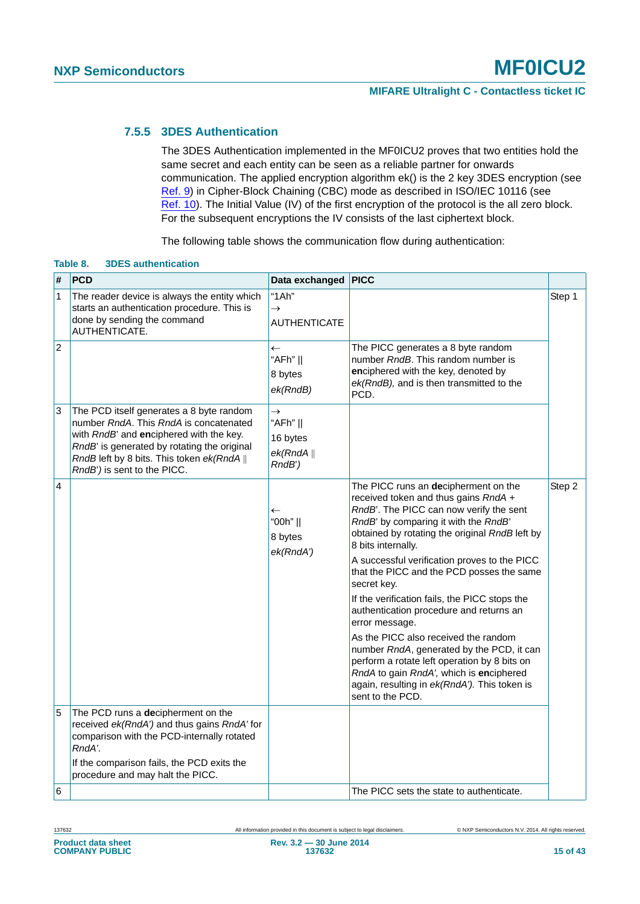#### <span id="page-14-0"></span>**7.5.5 3DES Authentication**

The 3DES Authentication implemented in the MF0ICU2 proves that two entities hold the same secret and each entity can be seen as a reliable partner for onwards communication. The applied encryption algorithm ek() is the 2 key 3DES encryption (see [Ref. 9\)](#page-36-7) in Cipher-Block Chaining (CBC) mode as described in ISO/IEC 10116 (see [Ref. 10](#page-36-8)). The Initial Value (IV) of the first encryption of the protocol is the all zero block. For the subsequent encryptions the IV consists of the last ciphertext block.

The following table shows the communication flow during authentication:

| #              | <b>PCD</b>                                                                                                                                                                                                                                                | Data exchanged PICC                                             |                                                                                                                                                                                                                                                                                                                                                                                                                                                                                                                                                                                                                                                                                                                       |        |
|----------------|-----------------------------------------------------------------------------------------------------------------------------------------------------------------------------------------------------------------------------------------------------------|-----------------------------------------------------------------|-----------------------------------------------------------------------------------------------------------------------------------------------------------------------------------------------------------------------------------------------------------------------------------------------------------------------------------------------------------------------------------------------------------------------------------------------------------------------------------------------------------------------------------------------------------------------------------------------------------------------------------------------------------------------------------------------------------------------|--------|
| $\mathbf{1}$   | The reader device is always the entity which<br>starts an authentication procedure. This is<br>done by sending the command<br>AUTHENTICATE.                                                                                                               | "1Ah"<br>$\rightarrow$<br><b>AUTHENTICATE</b>                   |                                                                                                                                                                                                                                                                                                                                                                                                                                                                                                                                                                                                                                                                                                                       | Step 1 |
| $\overline{2}$ |                                                                                                                                                                                                                                                           | $\leftarrow$<br>"AFh"   <br>8 bytes<br>ek(RndB)                 | The PICC generates a 8 byte random<br>number RndB. This random number is<br>enciphered with the key, denoted by<br>ek(RndB), and is then transmitted to the<br>PCD.                                                                                                                                                                                                                                                                                                                                                                                                                                                                                                                                                   |        |
| $\vert$ 3      | The PCD itself generates a 8 byte random<br>number RndA. This RndA is concatenated<br>with RndB' and enciphered with the key.<br>RndB' is generated by rotating the original<br>RndB left by 8 bits. This token ek(RndA   <br>RndB') is sent to the PICC. | $\rightarrow$<br>"AFh"   <br>16 bytes<br>ek(RndA  )<br>$RndB$ ) |                                                                                                                                                                                                                                                                                                                                                                                                                                                                                                                                                                                                                                                                                                                       |        |
| 4              |                                                                                                                                                                                                                                                           | $\leftarrow$<br>"00h"   <br>8 bytes<br>ek(RndA')                | The PICC runs an decipherment on the<br>received token and thus gains RndA +<br>RndB'. The PICC can now verify the sent<br>RndB' by comparing it with the RndB'<br>obtained by rotating the original RndB left by<br>8 bits internally.<br>A successful verification proves to the PICC<br>that the PICC and the PCD posses the same<br>secret key.<br>If the verification fails, the PICC stops the<br>authentication procedure and returns an<br>error message.<br>As the PICC also received the random<br>number RndA, generated by the PCD, it can<br>perform a rotate left operation by 8 bits on<br>RndA to gain RndA', which is enciphered<br>again, resulting in ek(RndA'). This token is<br>sent to the PCD. | Step 2 |
| 5              | The PCD runs a decipherment on the<br>received ek(RndA') and thus gains RndA' for<br>comparison with the PCD-internally rotated<br>RndA'.                                                                                                                 |                                                                 |                                                                                                                                                                                                                                                                                                                                                                                                                                                                                                                                                                                                                                                                                                                       |        |
|                | If the comparison fails, the PCD exits the<br>procedure and may halt the PICC.                                                                                                                                                                            |                                                                 |                                                                                                                                                                                                                                                                                                                                                                                                                                                                                                                                                                                                                                                                                                                       |        |
| 6              |                                                                                                                                                                                                                                                           |                                                                 | The PICC sets the state to authenticate.                                                                                                                                                                                                                                                                                                                                                                                                                                                                                                                                                                                                                                                                              |        |

#### <span id="page-14-1"></span>**Table 8. 3DES authentication**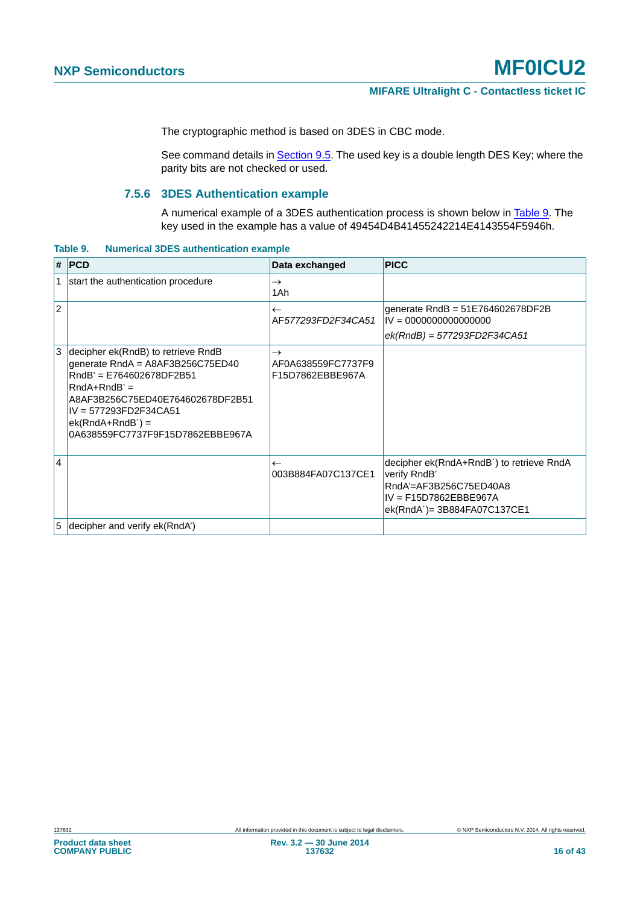The cryptographic method is based on 3DES in CBC mode.

See command details in [Section 9.5.](#page-28-0) The used key is a double length DES Key; where the parity bits are not checked or used.

#### **7.5.6 3DES Authentication example**

A numerical example of a 3DES authentication process is shown below in [Table 9.](#page-15-0) The key used in the example has a value of 49454D4B41455242214E4143554F5946h.

<span id="page-15-1"></span><span id="page-15-0"></span>**Table 9. Numerical 3DES authentication example**

|                | $#$ PCD                                                                                                                                                                                                                                     | Data exchanged                                          | <b>PICC</b>                                                                                                                                               |
|----------------|---------------------------------------------------------------------------------------------------------------------------------------------------------------------------------------------------------------------------------------------|---------------------------------------------------------|-----------------------------------------------------------------------------------------------------------------------------------------------------------|
| 1              | start the authentication procedure                                                                                                                                                                                                          | $\rightarrow$<br>1Ah                                    |                                                                                                                                                           |
| $\overline{2}$ |                                                                                                                                                                                                                                             | $\leftarrow$<br>AF577293FD2F34CA51                      | generate $RndB = 51E764602678DF2B$<br>$IV = 0000000000000000$<br>$ek(RndB) = 577293FD2F34CA51$                                                            |
|                | decipher ek(RndB) to retrieve RndB<br>generate RndA = A8AF3B256C75ED40<br>RndB' = E764602678DF2B51<br>$RndA+RndB' =$<br>A8AF3B256C75ED40E764602678DF2B51<br>IV = 577293FD2F34CA51<br>$ek(RndA+RndB') =$<br>0A638559FC7737F9F15D7862EBBE967A | $\rightarrow$<br>AF0A638559FC7737F9<br>F15D7862EBBE967A |                                                                                                                                                           |
| $\overline{4}$ |                                                                                                                                                                                                                                             | $\leftarrow$<br>003B884FA07C137CE1                      | decipher ek(RndA+RndB <sup>2</sup> ) to retrieve RndA<br>verify RndB'<br>RndA'=AF3B256C75ED40A8<br>$IV = F15D7862EBBE967A$<br>ek(RndA')= 3B884FA07C137CE1 |
| 5              | decipher and verify ek(RndA')                                                                                                                                                                                                               |                                                         |                                                                                                                                                           |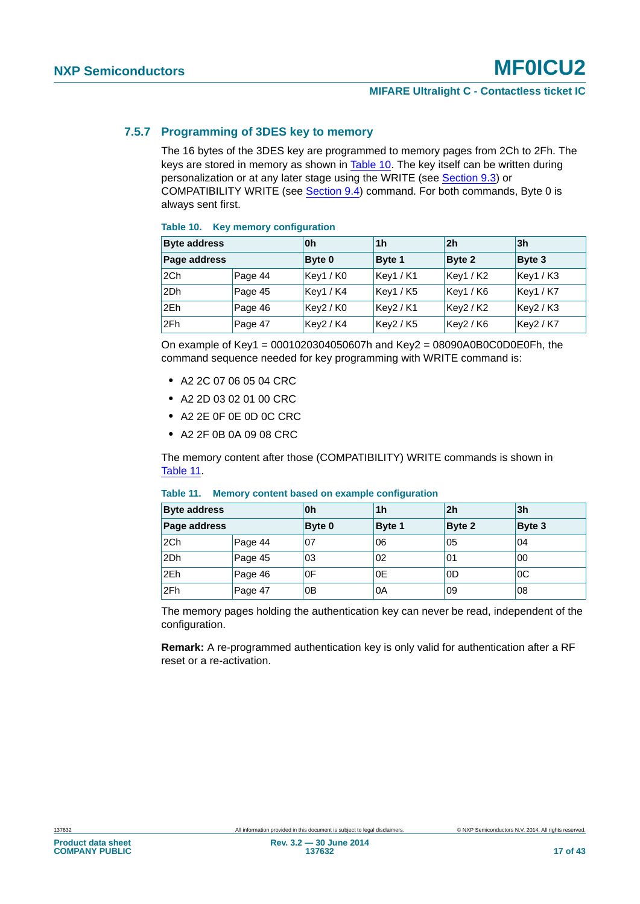#### <span id="page-16-2"></span>**7.5.7 Programming of 3DES key to memory**

The 16 bytes of the 3DES key are programmed to memory pages from 2Ch to 2Fh. The keys are stored in memory as shown in [Table 10.](#page-16-0) The key itself can be written during personalization or at any later stage using the WRITE (see [Section 9.3\)](#page-25-0) or COMPATIBILITY WRITE (see [Section 9.4\)](#page-26-0) command. For both commands, Byte 0 is always sent first.

#### <span id="page-16-0"></span>**Table 10. Key memory configuration**

| <b>Byte address</b> |         | 0h        | 1 <sub>h</sub> | 2 <sub>h</sub> | 3 <sub>h</sub> |
|---------------------|---------|-----------|----------------|----------------|----------------|
| Page address        |         | Byte 0    | Byte 1         | Byte 2         | Byte 3         |
| 2Ch                 | Page 44 | Key1/K0   | Key1/K1        | Key1 / K2      | Key1/K3        |
| 2Dh                 | Page 45 | Key1 / K4 | Key1/K5        | Key1 / K6      | Key1 / K7      |
| 2Eh                 | Page 46 | Key2/K0   | Key2/K1        | Key2/K2        | Key2 / K3      |
| 2Fh                 | Page 47 | Key2 / K4 | Key2 / K5      | Key2 / K6      | Key2 / K7      |

On example of Key1 =  $0001020304050607h$  and Key2 =  $08090A0B0C0D0E0Fh$ , the command sequence needed for key programming with WRITE command is:

- **•** A2 2C 07 06 05 04 CRC
- **•** A2 2D 03 02 01 00 CRC
- **•** A2 2E 0F 0E 0D 0C CRC
- **•** A2 2F 0B 0A 09 08 CRC

The memory content after those (COMPATIBILITY) WRITE commands is shown in [Table 11](#page-16-1).

| <b>Byte address</b> |         | 0h             | 1h            | 2h     | 3 <sub>h</sub> |
|---------------------|---------|----------------|---------------|--------|----------------|
| Page address        |         | Byte 0         | <b>Byte 1</b> | Byte 2 | Byte 3         |
| 2Ch                 | Page 44 | 07             | 06            | 05     | 04             |
| 2Dh                 | Page 45 | 03             | 02            | 01     | 00             |
| 2Eh                 | Page 46 | 0F             | 0E            | 0D     | 0C             |
| 2Fh                 | Page 47 | 0 <sub>B</sub> | 0A            | 09     | 08             |

#### <span id="page-16-1"></span>**Table 11. Memory content based on example configuration**

The memory pages holding the authentication key can never be read, independent of the configuration.

**Remark:** A re-programmed authentication key is only valid for authentication after a RF reset or a re-activation.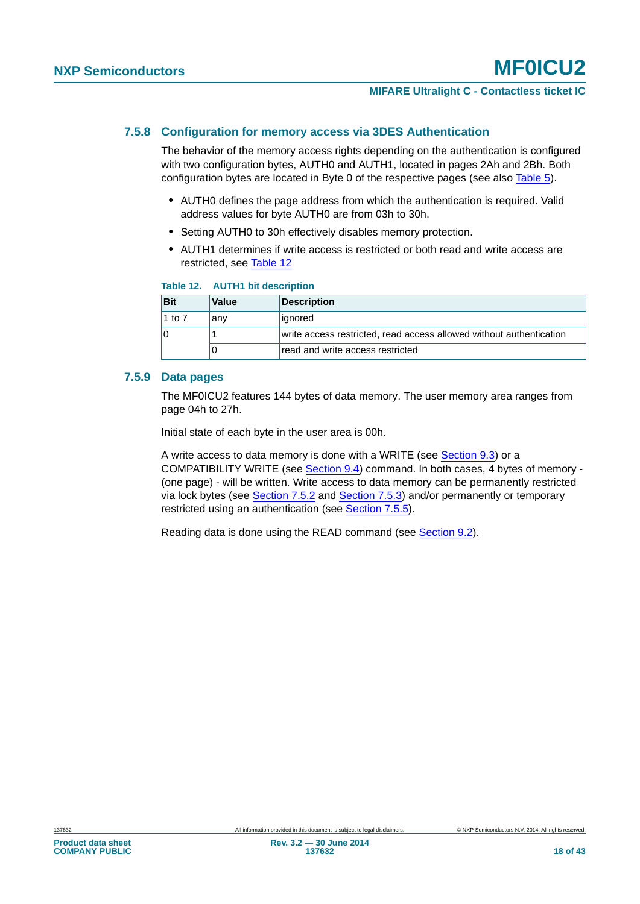#### <span id="page-17-1"></span>**7.5.8 Configuration for memory access via 3DES Authentication**

The behavior of the memory access rights depending on the authentication is configured with two configuration bytes, AUTH0 and AUTH1, located in pages 2Ah and 2Bh. Both configuration bytes are located in Byte 0 of the respective pages (see also [Table 5](#page-9-0)).

- **•** AUTH0 defines the page address from which the authentication is required. Valid address values for byte AUTH0 are from 03h to 30h.
- **•** Setting AUTH0 to 30h effectively disables memory protection.
- **•** AUTH1 determines if write access is restricted or both read and write access are restricted, see [Table 12](#page-17-0)

#### <span id="page-17-0"></span>**Table 12. AUTH1 bit description**

| Bit    | Value | Description                                                         |
|--------|-------|---------------------------------------------------------------------|
| 1 to 7 | anv   | ignored                                                             |
| 10     |       | write access restricted, read access allowed without authentication |
|        |       | read and write access restricted                                    |

#### <span id="page-17-2"></span>**7.5.9 Data pages**

The MF0ICU2 features 144 bytes of data memory. The user memory area ranges from page 04h to 27h.

Initial state of each byte in the user area is 00h.

A write access to data memory is done with a WRITE (see [Section 9.3](#page-25-0)) or a COMPATIBILITY WRITE (see [Section 9.4](#page-26-0)) command. In both cases, 4 bytes of memory - (one page) - will be written. Write access to data memory can be permanently restricted via lock bytes (see [Section 7.5.2](#page-10-1) and [Section 7.5.3\)](#page-11-1) and/or permanently or temporary restricted using an authentication (see [Section 7.5.5](#page-14-0)).

Reading data is done using the READ command (see [Section 9.2\)](#page-23-0).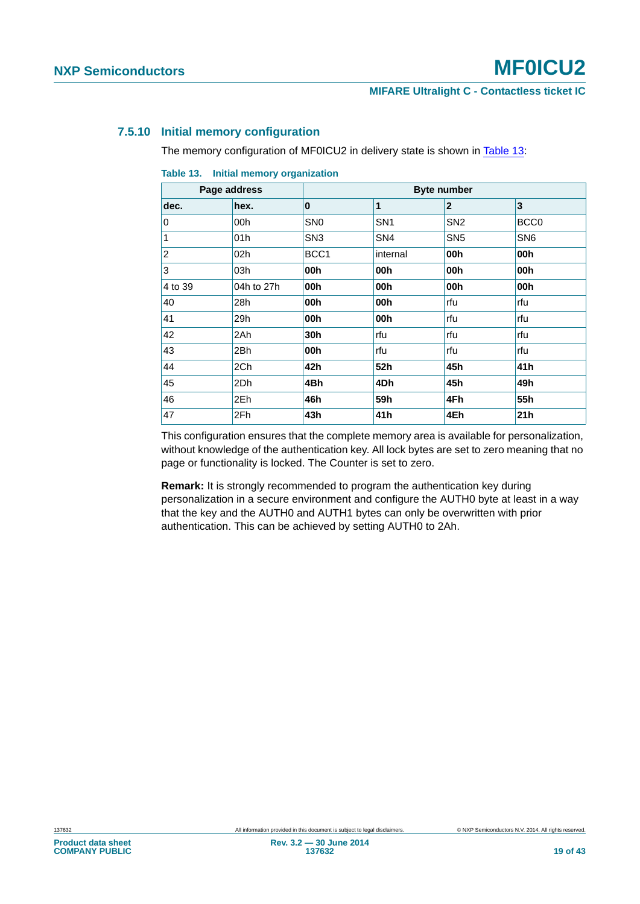#### <span id="page-18-1"></span>**7.5.10 Initial memory configuration**

The memory configuration of MF0ICU2 in delivery state is shown in [Table 13:](#page-18-0)

|                | Page address |                 | <b>Byte number</b> |                 |                  |  |  |
|----------------|--------------|-----------------|--------------------|-----------------|------------------|--|--|
| dec.           | hex.         | $\mathbf{0}$    | 1                  | $\mathbf{2}$    | 3                |  |  |
| 0              | 00h          | SN <sub>0</sub> | SN <sub>1</sub>    | SN <sub>2</sub> | BCC <sub>0</sub> |  |  |
| 1              | 01h          | SN <sub>3</sub> | SN <sub>4</sub>    | SN <sub>5</sub> | SN <sub>6</sub>  |  |  |
| $\overline{c}$ | 02h          | BCC1            | internal           | 00h             | 00h              |  |  |
| 3              | 03h          | 00h             | 00h                | 00h             | 00h              |  |  |
| 4 to 39        | 04h to 27h   | 00h             | 00h                | 00h             | 00h              |  |  |
| 40             | 28h          | 00h             | 00h                | rfu             | rfu              |  |  |
| 41             | 29h          | 00h             | 00h                | rfu             | rfu              |  |  |
| 42             | 2Ah          | 30h             | rfu                | rfu             | rfu              |  |  |
| 43             | 2Bh          | 00h             | rfu                | rfu             | rfu              |  |  |
| 44             | 2Ch          | 42h             | 52h                | 45h             | 41h              |  |  |
| 45             | 2Dh          | 4Bh             | 4Dh                | 45h             | 49h              |  |  |
| 46             | 2Eh          | 46h             | 59h                | 4Fh             | 55h              |  |  |
| 47             | 2Fh          | 43h             | 41 h               | 4Eh             | 21h              |  |  |

<span id="page-18-0"></span>**Table 13. Initial memory organization**

This configuration ensures that the complete memory area is available for personalization, without knowledge of the authentication key. All lock bytes are set to zero meaning that no page or functionality is locked. The Counter is set to zero.

**Remark:** It is strongly recommended to program the authentication key during personalization in a secure environment and configure the AUTH0 byte at least in a way that the key and the AUTH0 and AUTH1 bytes can only be overwritten with prior authentication. This can be achieved by setting AUTH0 to 2Ah.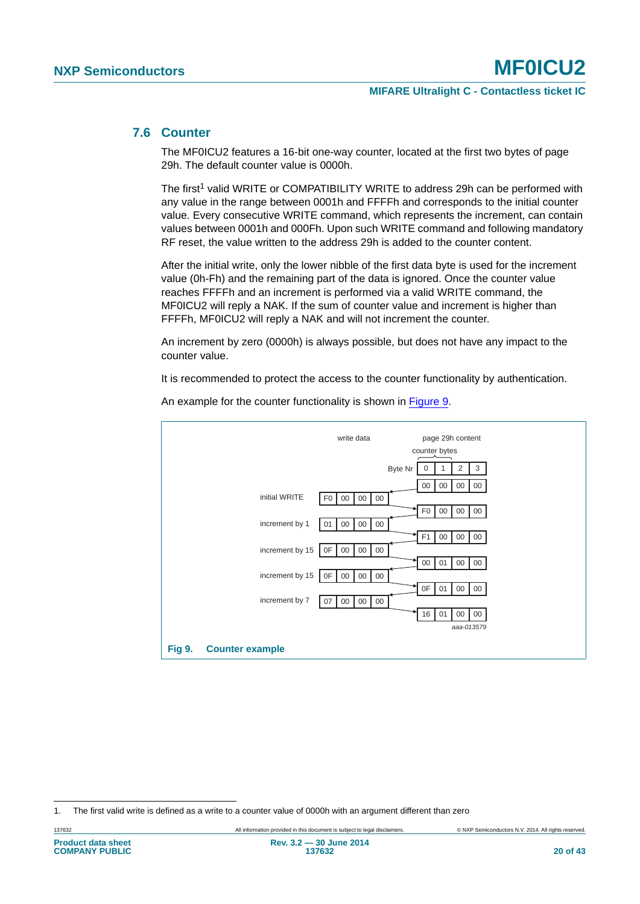#### <span id="page-19-1"></span>**7.6 Counter**

The MF0ICU2 features a 16-bit one-way counter, located at the first two bytes of page 29h. The default counter value is 0000h.

The first<sup>1</sup> valid WRITE or COMPATIBILITY WRITE to address 29h can be performed with any value in the range between 0001h and FFFFh and corresponds to the initial counter value. Every consecutive WRITE command, which represents the increment, can contain values between 0001h and 000Fh. Upon such WRITE command and following mandatory RF reset, the value written to the address 29h is added to the counter content.

After the initial write, only the lower nibble of the first data byte is used for the increment value (0h-Fh) and the remaining part of the data is ignored. Once the counter value reaches FFFFh and an increment is performed via a valid WRITE command, the MF0ICU2 will reply a NAK. If the sum of counter value and increment is higher than FFFFh, MF0ICU2 will reply a NAK and will not increment the counter.

An increment by zero (0000h) is always possible, but does not have any impact to the counter value.

It is recommended to protect the access to the counter functionality by authentication.



An example for the counter functionality is shown in [Figure 9](#page-19-0).

<span id="page-19-0"></span><sup>1.</sup> The first valid write is defined as a write to a counter value of 0000h with an argument different than zero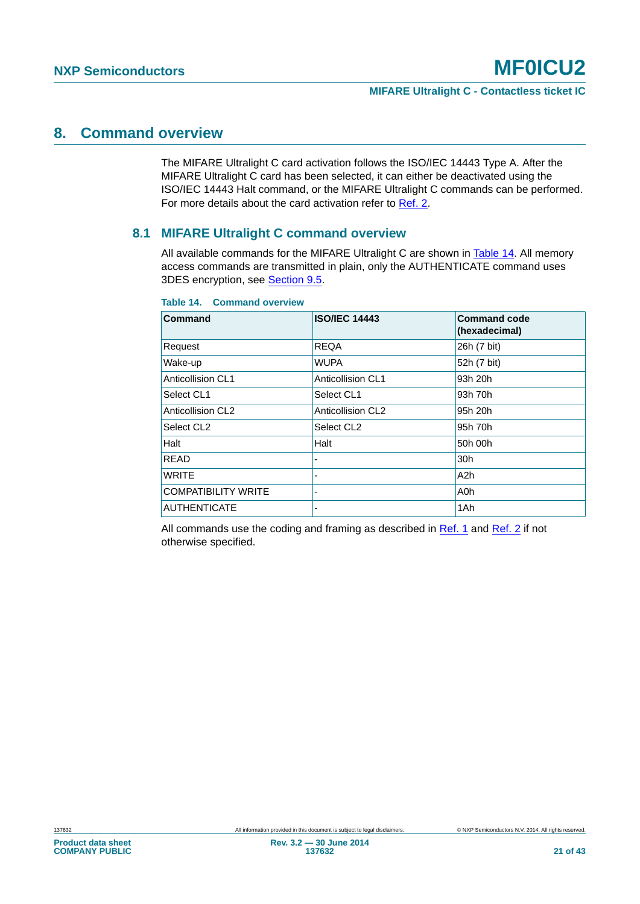### <span id="page-20-1"></span>**8. Command overview**

The MIFARE Ultralight C card activation follows the ISO/IEC 14443 Type A. After the MIFARE Ultralight C card has been selected, it can either be deactivated using the ISO/IEC 14443 Halt command, or the MIFARE Ultralight C commands can be performed. For more details about the card activation refer to [Ref. 2.](#page-36-1)

#### <span id="page-20-2"></span>**8.1 MIFARE Ultralight C command overview**

All available commands for the MIFARE Ultralight C are shown in [Table 14](#page-20-0). All memory access commands are transmitted in plain, only the AUTHENTICATE command uses 3DES encryption, see [Section 9.5.](#page-28-0)

| Command                    | <b>ISO/IEC 14443</b>     | <b>Command code</b><br>(hexadecimal) |
|----------------------------|--------------------------|--------------------------------------|
| Request                    | <b>REQA</b>              | 26h (7 bit)                          |
| Wake-up                    | <b>WUPA</b>              | 52h (7 bit)                          |
| Anticollision CL1          | Anticollision CL1        | 93h 20h                              |
| Select CL1                 | Select CL1               | 93h 70h                              |
| <b>Anticollision CL2</b>   | <b>Anticollision CL2</b> | 95h 20h                              |
| Select CL <sub>2</sub>     | Select CL <sub>2</sub>   | 95h 70h                              |
| Halt                       | Halt                     | 50h 00h                              |
| <b>READ</b>                |                          | 30h                                  |
| <b>WRITE</b>               |                          | A <sub>2</sub> h                     |
| <b>COMPATIBILITY WRITE</b> |                          | A0h                                  |
| <b>AUTHENTICATE</b>        |                          | 1Ah                                  |

#### <span id="page-20-0"></span>**Table 14. Command overview**

All commands use the coding and framing as described in [Ref. 1](#page-36-0) and [Ref. 2](#page-36-1) if not otherwise specified.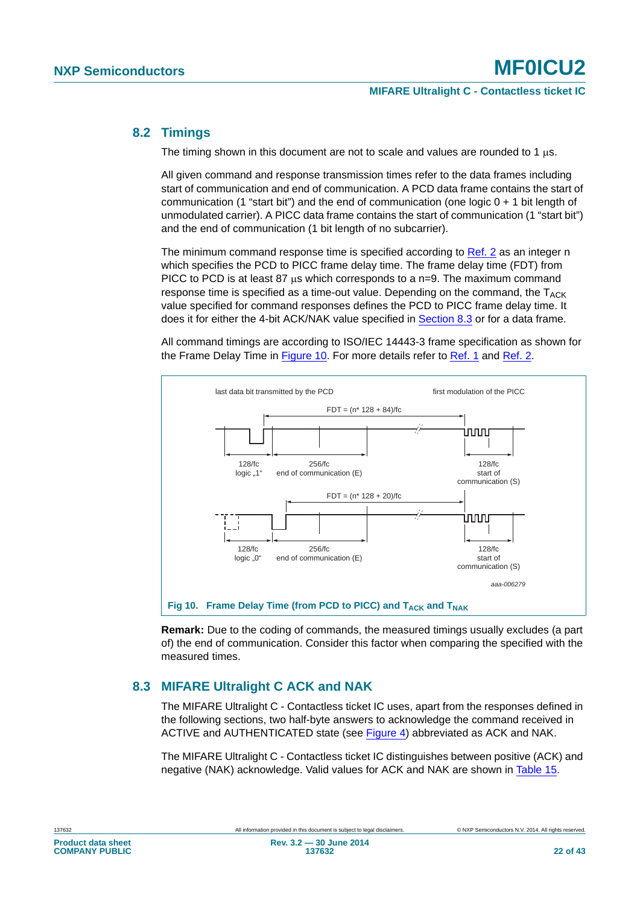#### <span id="page-21-2"></span>**8.2 Timings**

The timing shown in this document are not to scale and values are rounded to 1  $\mu$ s.

All given command and response transmission times refer to the data frames including start of communication and end of communication. A PCD data frame contains the start of communication (1 "start bit") and the end of communication (one logic  $0 + 1$  bit length of unmodulated carrier). A PICC data frame contains the start of communication (1 "start bit") and the end of communication (1 bit length of no subcarrier).

The minimum command response time is specified according to [Ref. 2](#page-36-1) as an integer n which specifies the PCD to PICC frame delay time. The frame delay time (FDT) from PICC to PCD is at least 87 us which corresponds to a n=9. The maximum command response time is specified as a time-out value. Depending on the command, the  $T_{ACK}$ value specified for command responses defines the PCD to PICC frame delay time. It does it for either the 4-bit ACK/NAK value specified in [Section 8.3](#page-21-0) or for a data frame.

All command timings are according to ISO/IEC 14443-3 frame specification as shown for the Frame Delay Time in [Figure 10](#page-21-1). For more details refer to [Ref. 1](#page-36-0) and [Ref. 2.](#page-36-1)



<span id="page-21-1"></span>**Remark:** Due to the coding of commands, the measured timings usually excludes (a part of) the end of communication. Consider this factor when comparing the specified with the measured times.

#### <span id="page-21-0"></span>**8.3 MIFARE Ultralight C ACK and NAK**

The MIFARE Ultralight C - Contactless ticket IC uses, apart from the responses defined in the following sections, two half-byte answers to acknowledge the command received in ACTIVE and AUTHENTICATED state (see [Figure 4\)](#page-6-0) abbreviated as ACK and NAK.

The MIFARE Ultralight C - Contactless ticket IC distinguishes between positive (ACK) and negative (NAK) acknowledge. Valid values for ACK and NAK are shown in [Table 15](#page-22-0).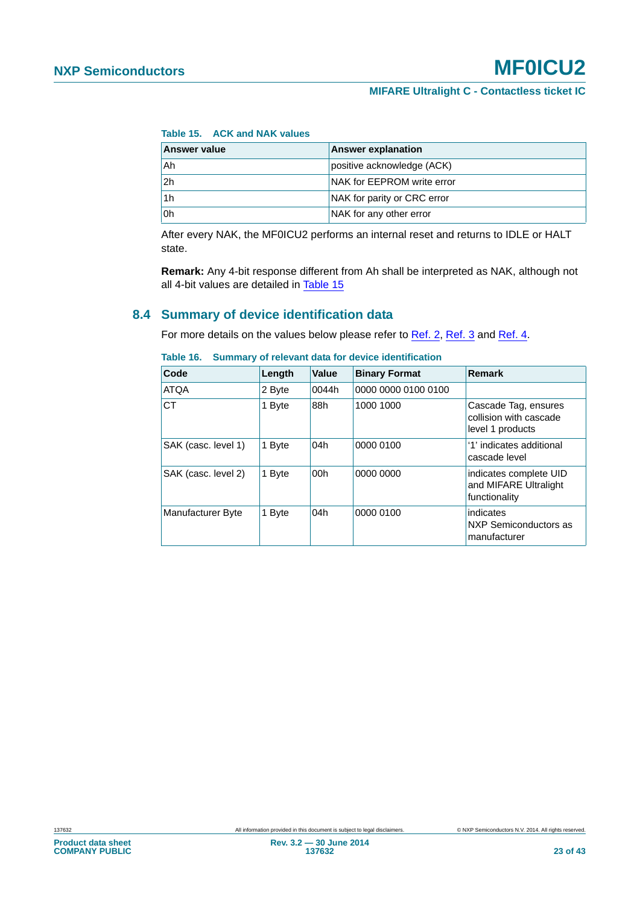<span id="page-22-0"></span>**Table 15. ACK and NAK values**

| Answer value   | <b>Answer explanation</b>   |
|----------------|-----------------------------|
| Ah             | positive acknowledge (ACK)  |
| 2 <sub>h</sub> | NAK for EEPROM write error  |
| 1h             | NAK for parity or CRC error |
| 0h             | NAK for any other error     |

After every NAK, the MF0ICU2 performs an internal reset and returns to IDLE or HALT state.

**Remark:** Any 4-bit response different from Ah shall be interpreted as NAK, although not all 4-bit values are detailed in [Table 15](#page-22-0)

#### <span id="page-22-1"></span>**8.4 Summary of device identification data**

For more details on the values below please refer to [Ref. 2](#page-36-1), [Ref. 3](#page-36-9) and [Ref. 4](#page-36-4).

| Code                | Length | Value | <b>Binary Format</b> | <b>Remark</b>                                                      |
|---------------------|--------|-------|----------------------|--------------------------------------------------------------------|
| <b>ATQA</b>         | 2 Byte | 0044h | 0000 0000 0100 0100  |                                                                    |
| <b>CT</b>           | 1 Byte | 88h   | 1000 1000            | Cascade Tag, ensures<br>collision with cascade<br>level 1 products |
| SAK (casc. level 1) | 1 Byte | 04h   | 0000 0100            | '1' indicates additional<br>cascade level                          |
| SAK (casc. level 2) | 1 Byte | 00h   | 0000 0000            | indicates complete UID<br>and MIFARE Ultralight<br>functionality   |
| Manufacturer Byte   | 1 Byte | 04h   | 0000 0100            | indicates<br>NXP Semiconductors as<br>manufacturer                 |

<span id="page-22-2"></span>

|  |  | Table 16. Summary of relevant data for device identification |
|--|--|--------------------------------------------------------------|
|  |  |                                                              |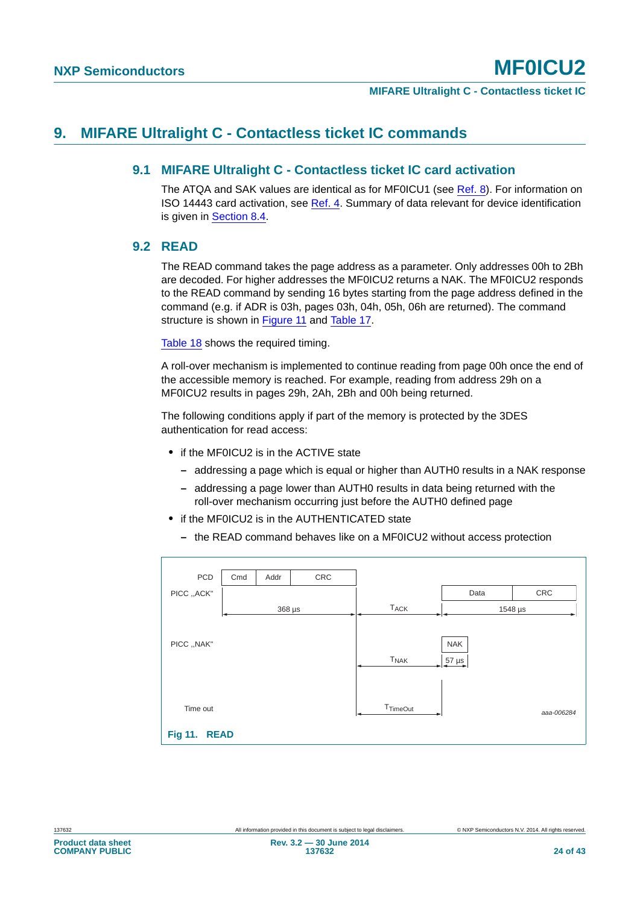### <span id="page-23-3"></span><span id="page-23-2"></span>**9. MIFARE Ultralight C - Contactless ticket IC commands**

#### **9.1 MIFARE Ultralight C - Contactless ticket IC card activation**

The ATQA and SAK values are identical as for MF0ICU1 (see [Ref. 8](#page-36-6)). For information on ISO 14443 card activation, see [Ref. 4](#page-36-4). Summary of data relevant for device identification is given in [Section 8.4](#page-22-1).

#### <span id="page-23-0"></span>**9.2 READ**

The READ command takes the page address as a parameter. Only addresses 00h to 2Bh are decoded. For higher addresses the MF0ICU2 returns a NAK. The MF0ICU2 responds to the READ command by sending 16 bytes starting from the page address defined in the command (e.g. if ADR is 03h, pages 03h, 04h, 05h, 06h are returned). The command structure is shown in [Figure 11](#page-23-1) and [Table 17](#page-24-0).

[Table 18](#page-24-1) shows the required timing.

A roll-over mechanism is implemented to continue reading from page 00h once the end of the accessible memory is reached. For example, reading from address 29h on a MF0ICU2 results in pages 29h, 2Ah, 2Bh and 00h being returned.

The following conditions apply if part of the memory is protected by the 3DES authentication for read access:

- **•** if the MF0ICU2 is in the ACTIVE state
	- **–** addressing a page which is equal or higher than AUTH0 results in a NAK response
	- **–** addressing a page lower than AUTH0 results in data being returned with the roll-over mechanism occurring just before the AUTH0 defined page
- **•** if the MF0ICU2 is in the AUTHENTICATED state
	- **–** the READ command behaves like on a MF0ICU2 without access protection

<span id="page-23-1"></span>

| PCD                      | Cmd | Addr        | CRC |                        |                          |            |
|--------------------------|-----|-------------|-----|------------------------|--------------------------|------------|
| PICC ,, ACK"             |     |             |     |                        | Data                     | CRC        |
|                          |     | $368 \mu s$ |     | <b>T<sub>ACK</sub></b> |                          | 1548 µs    |
| PICC, , NAK"             |     |             |     | <b>T<sub>NAK</sub></b> | <b>NAK</b><br>$57 \mu s$ |            |
| Time out<br>Fig 11. READ |     |             |     | <b>T</b> TimeOut       |                          | aaa-006284 |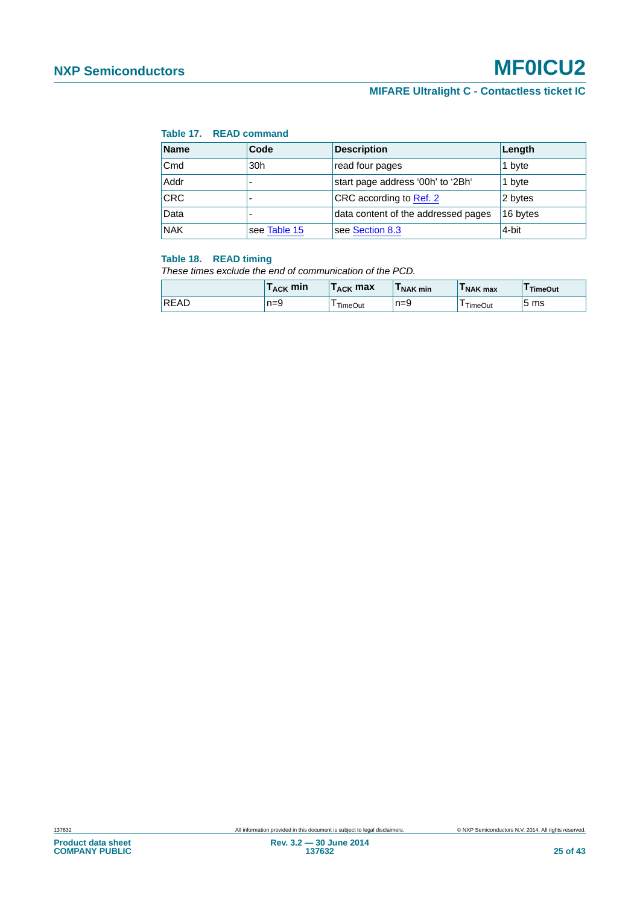### **MIFARE Ultralight C - Contactless ticket IC**

#### <span id="page-24-0"></span>**Table 17. READ command**

| <b>Name</b>                      | Code         | <b>Description</b>                  | Length   |
|----------------------------------|--------------|-------------------------------------|----------|
| $\mathsf{C}\mathsf{m}\mathsf{d}$ | 30h          | read four pages                     | 1 byte   |
| Addr                             |              | start page address '00h' to '2Bh'   | 1 byte   |
| <b>CRC</b>                       |              | CRC according to Ref. 2             | 2 bytes  |
| Data                             |              | data content of the addressed pages | 16 bytes |
| <b>NAK</b>                       | see Table 15 | see Section 8.3                     | 4-bit    |

#### <span id="page-24-1"></span>**Table 18. READ timing**

*These times exclude the end of communication of the PCD.*

|             | $\mathsf{T}_{\mathsf{ACK}}$ min | $\mathsf{T}_{\mathsf{ACK}}$ max | I NAK min | I NAK max | 'TimeOut |
|-------------|---------------------------------|---------------------------------|-----------|-----------|----------|
| <b>READ</b> | $n=9$                           | <b>TimeOut</b>                  | $n=9$     | TimeOut   | 5 ms     |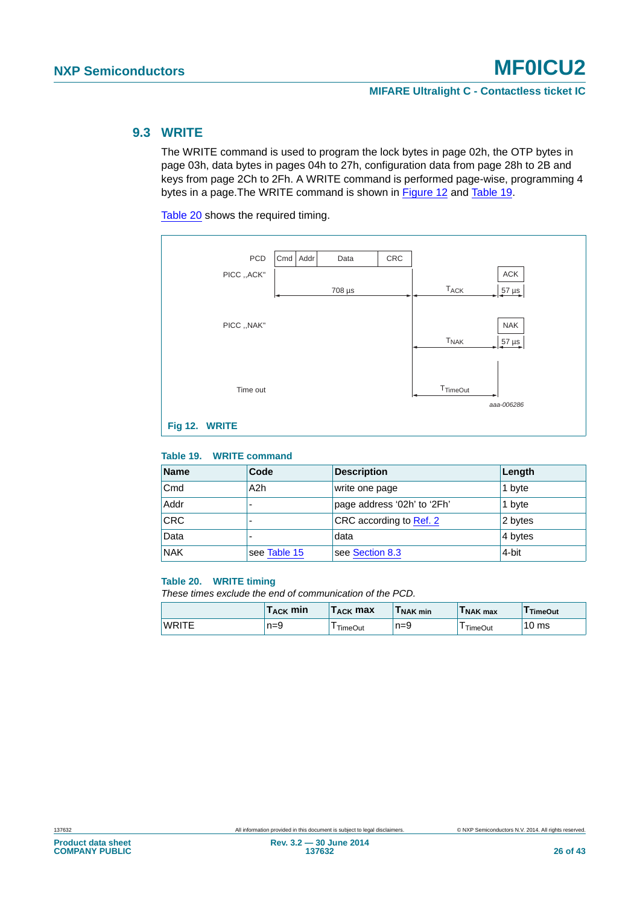#### <span id="page-25-0"></span>**9.3 WRITE**

The WRITE command is used to program the lock bytes in page 02h, the OTP bytes in page 03h, data bytes in pages 04h to 27h, configuration data from page 28h to 2B and keys from page 2Ch to 2Fh. A WRITE command is performed page-wise, programming 4 bytes in a page.The WRITE command is shown in [Figure 12](#page-25-1) and [Table 19.](#page-25-2)

[Table 20](#page-25-3) shows the required timing.



#### <span id="page-25-2"></span><span id="page-25-1"></span>**Table 19. WRITE command**

| <b>Name</b> | Code             | <b>Description</b>          | Length  |
|-------------|------------------|-----------------------------|---------|
| Cmd         | A <sub>2</sub> h | write one page              | 1 byte  |
| Addr        |                  | page address '02h' to '2Fh' | 1 byte  |
| <b>CRC</b>  |                  | CRC according to Ref. 2     | 2 bytes |
| Data        |                  | data                        | 4 bytes |
| <b>NAK</b>  | see Table 15     | see Section 8.3             | 4-bit   |

#### <span id="page-25-3"></span>**Table 20. WRITE timing**

*These times exclude the end of communication of the PCD.*

|              | $\mathsf{T}_{\mathsf{ACK}}$ min | $\mathsf{T}_{\mathsf{ACK}}$ max $\mathsf{T}_{\mathsf{ACK}}$ | I NAK min | I NAK max | TimeOut |
|--------------|---------------------------------|-------------------------------------------------------------|-----------|-----------|---------|
| <b>WRITE</b> | $n=9$                           | TimeOut                                                     | $n=9$     | TimeOut   | 10 ms   |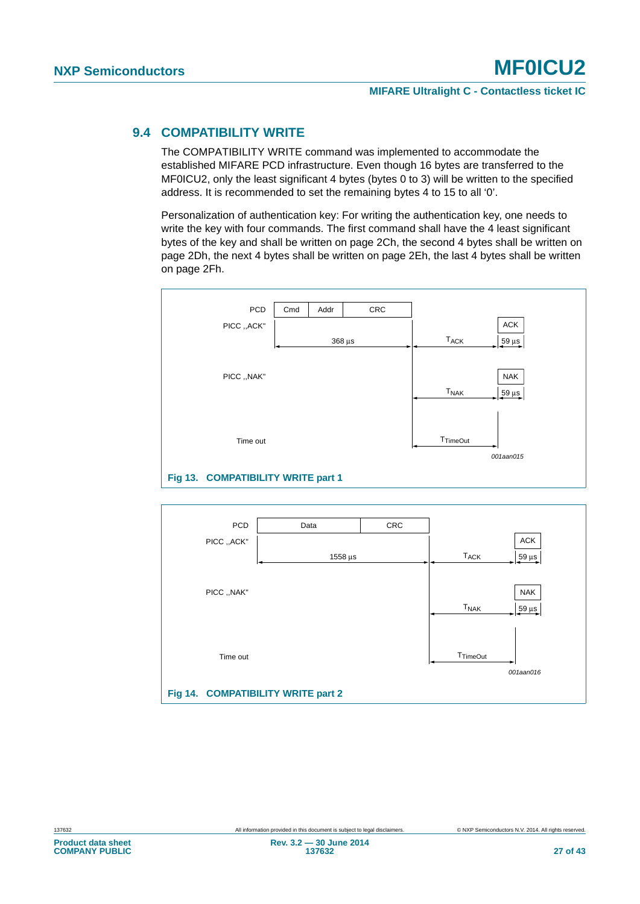#### <span id="page-26-0"></span>**9.4 COMPATIBILITY WRITE**

The COMPATIBILITY WRITE command was implemented to accommodate the established MIFARE PCD infrastructure. Even though 16 bytes are transferred to the MF0ICU2, only the least significant 4 bytes (bytes 0 to 3) will be written to the specified address. It is recommended to set the remaining bytes 4 to 15 to all '0'.

Personalization of authentication key: For writing the authentication key, one needs to write the key with four commands. The first command shall have the 4 least significant bytes of the key and shall be written on page 2Ch, the second 4 bytes shall be written on page 2Dh, the next 4 bytes shall be written on page 2Eh, the last 4 bytes shall be written on page 2Fh.



<span id="page-26-2"></span><span id="page-26-1"></span>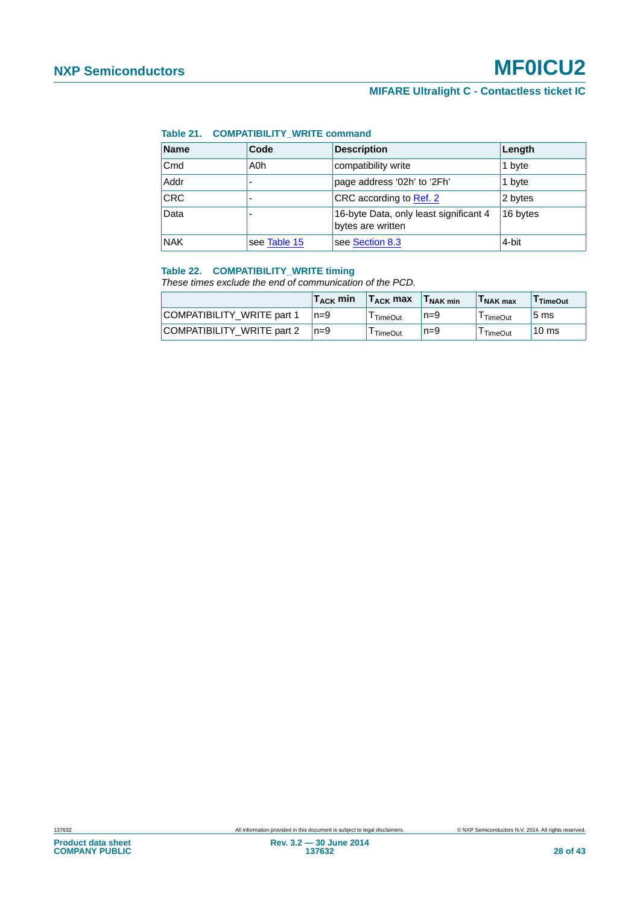#### <span id="page-27-0"></span>**Table 21. COMPATIBILITY\_WRITE command**

| Name       | Code         | <b>Description</b>                                          | Length   |
|------------|--------------|-------------------------------------------------------------|----------|
| Cmd        | A0h          | compatibility write                                         | 1 byte   |
| Addr       |              | page address '02h' to '2Fh'                                 | 1 byte   |
| CRC        |              | CRC according to Ref. 2                                     | 2 bytes  |
| Data       |              | 16-byte Data, only least significant 4<br>bytes are written | 16 bytes |
| <b>NAK</b> | see Table 15 | see Section 8.3                                             | 4-bit    |

#### <span id="page-27-1"></span>**Table 22. COMPATIBILITY\_WRITE timing**

*These times exclude the end of communication of the PCD.*

|                            | $T_{\rm ACK}$ min | $T_{\rm ACK}$ max | <b>INAK min</b> | I NAK max      | TimeOut          |
|----------------------------|-------------------|-------------------|-----------------|----------------|------------------|
| COMPATIBILITY WRITE part 1 | $n=9$             | TimeOut           | $n=9$           | TimeOut        | 5 <sub>ms</sub>  |
| COMPATIBILITY WRITE part 2 | $n=9$             | <b>TimeOut</b>    | $n=9$           | <b>TimeOut</b> | 10 <sub>ms</sub> |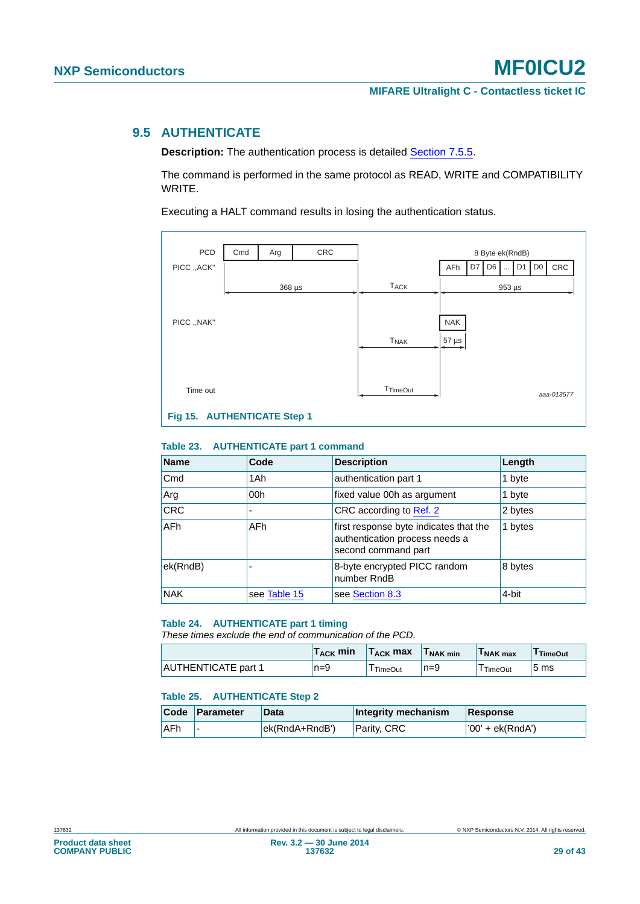#### <span id="page-28-0"></span>**9.5 AUTHENTICATE**

**Description:** The authentication process is detailed **[Section 7.5.5](#page-14-0)**.

The command is performed in the same protocol as READ, WRITE and COMPATIBILITY WRITE.

Executing a HALT command results in losing the authentication status.



#### <span id="page-28-4"></span><span id="page-28-1"></span>**Table 23. AUTHENTICATE part 1 command**

| <b>Name</b>      | Code         | <b>Description</b>                                                                              | Length  |
|------------------|--------------|-------------------------------------------------------------------------------------------------|---------|
| Cmd              | 1Ah          | authentication part 1                                                                           | 1 byte  |
| <sub>i</sub> Arg | 00h          | fixed value 00h as argument                                                                     | 1 byte  |
| <b>CRC</b>       |              | CRC according to Ref. 2                                                                         | 2 bytes |
| <b>AFh</b>       | <b>AFh</b>   | first response byte indicates that the<br>authentication process needs a<br>second command part | 1 bytes |
| ek(RndB)         |              | 8-byte encrypted PICC random<br>number RndB                                                     | 8 bytes |
| <b>NAK</b>       | see Table 15 | see Section 8.3                                                                                 | 4-bit   |

#### <span id="page-28-2"></span>**Table 24. AUTHENTICATE part 1 timing**

*These times exclude the end of communication of the PCD.*

|                            | $T_{\rm ACK}$ min | $T_{\rm ACK}$ max | <b>INAK min</b> | I NAK max | TimeOut |
|----------------------------|-------------------|-------------------|-----------------|-----------|---------|
| <b>AUTHENTICATE part 1</b> | $n=9$             | <b>TimeOut</b>    | $n=9$           | TimeOut   | 5 ms    |

#### <span id="page-28-3"></span>**Table 25. AUTHENTICATE Step 2**

|            | Code Parameter | <b>Data</b>    | Integrity mechanism | Response           |
|------------|----------------|----------------|---------------------|--------------------|
| <b>AFh</b> | -              | ek(RndA+RndB') | Parity, CRC         | $'00'$ + ek(RndA') |

**Product data sheet COMPANY PUBLIC**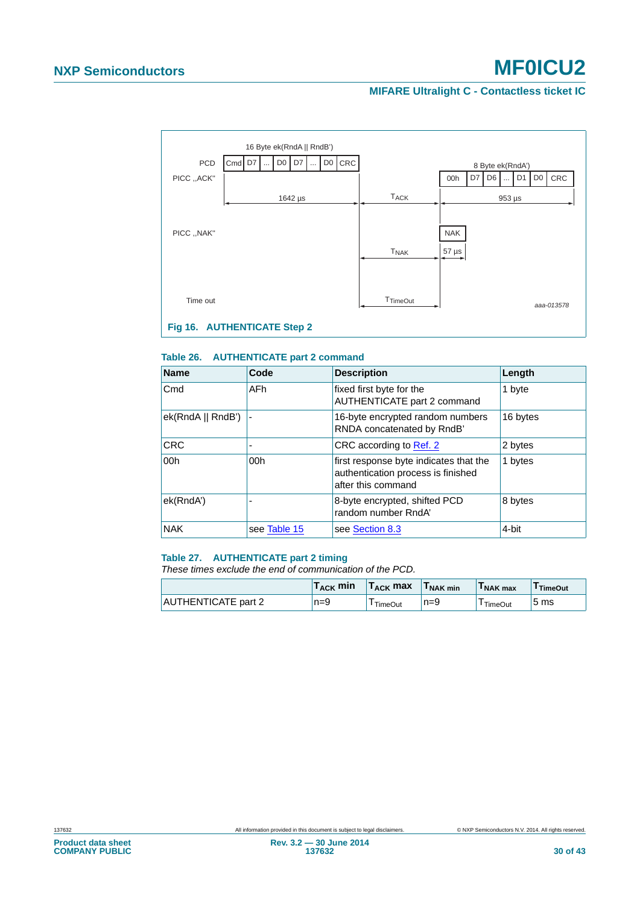#### **MIFARE Ultralight C - Contactless ticket IC**



#### <span id="page-29-2"></span><span id="page-29-0"></span>**Table 26. AUTHENTICATE part 2 command**

| <b>Name</b>       | Code         | <b>Description</b>                                                                                 | Length   |
|-------------------|--------------|----------------------------------------------------------------------------------------------------|----------|
| Cmd               | AFh          | fixed first byte for the<br>AUTHENTICATE part 2 command                                            | 1 byte   |
| ek(RndA    RndB') |              | 16-byte encrypted random numbers<br>RNDA concatenated by RndB'                                     | 16 bytes |
| <b>CRC</b>        |              | CRC according to Ref. 2                                                                            | 2 bytes  |
| 00 <sub>h</sub>   | 00h          | first response byte indicates that the<br>authentication process is finished<br>after this command | 1 bytes  |
| ek(RndA')         |              | 8-byte encrypted, shifted PCD<br>random number RndA'                                               | 8 bytes  |
| <b>NAK</b>        | see Table 15 | see Section 8.3                                                                                    | 4-bit    |

#### <span id="page-29-1"></span>**Table 27. AUTHENTICATE part 2 timing**

*These times exclude the end of communication of the PCD.*

|                            | $T_{\sf ACK}$ min | $T_{\rm ACK}$ max | I NAK min | I NAK max | <sup>I</sup> TimeOut |
|----------------------------|-------------------|-------------------|-----------|-----------|----------------------|
| <b>AUTHENTICATE part 2</b> | $n=9$             | TimeOut           | $n=9$     | TimeOut   | 5 ms                 |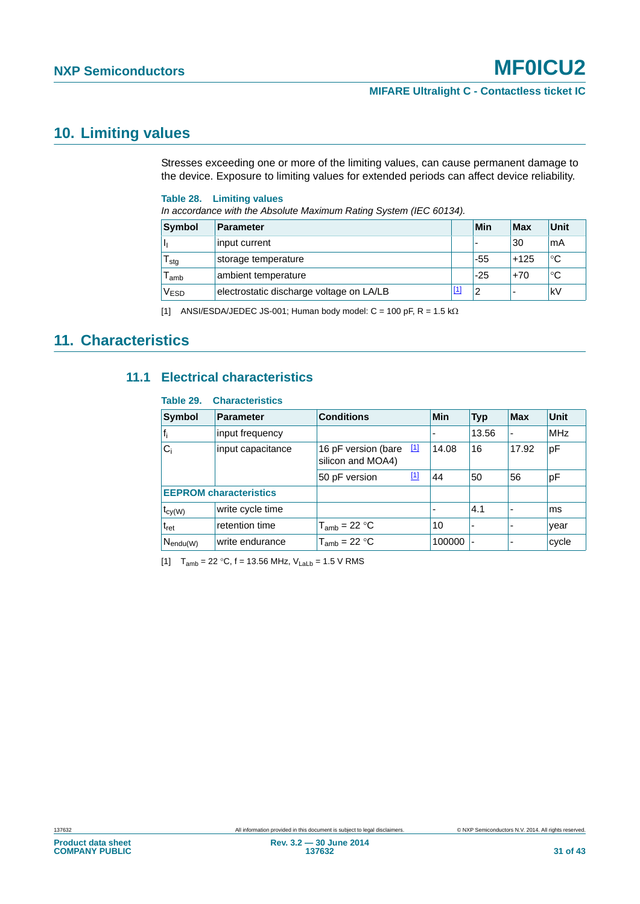### <span id="page-30-4"></span>**10. Limiting values**

Stresses exceeding one or more of the limiting values, can cause permanent damage to the device. Exposure to limiting values for extended periods can affect device reliability.

#### <span id="page-30-2"></span>**Table 28. Limiting values**

*In accordance with the Absolute Maximum Rating System (IEC 60134).*

| Symbol        | <b>Parameter</b>                         |            | Min   | Max    | Unit        |
|---------------|------------------------------------------|------------|-------|--------|-------------|
|               | input current                            |            | ٠     | 30     | mA          |
| l stg         | storage temperature                      |            | -55   | $+125$ | $^{\circ}C$ |
| l amb         | ambient temperature                      |            | $-25$ | $+70$  | °C          |
| $\rm V_{ESD}$ | electrostatic discharge voltage on LA/LB | <u>[1]</u> | 2     |        | kV          |

<span id="page-30-0"></span>[1] ANSI/ESDA/JEDEC JS-001; Human body model:  $C = 100$  pF, R = 1.5 k $\Omega$ 

### <span id="page-30-6"></span><span id="page-30-5"></span>**11. Characteristics**

#### **11.1 Electrical characteristics**

#### <span id="page-30-3"></span>**Table 29. Characteristics**

| <b>Symbol</b>          | <b>Parameter</b>              | <b>Conditions</b>                            | Min    | <b>Typ</b> | <b>Max</b> | <b>Unit</b> |
|------------------------|-------------------------------|----------------------------------------------|--------|------------|------------|-------------|
| $ f_i $                | input frequency               |                                              |        | 13.56      | ۰          | <b>MHz</b>  |
| $ C_i$                 | input capacitance             | 16 pF version (bare [1]<br>silicon and MOA4) | 14.08  | 16         | 17.92      | pF          |
|                        |                               | $[1]$<br>50 pF version                       | 44     | 50         | 56         | pF          |
|                        | <b>EEPROM</b> characteristics |                                              |        |            |            |             |
| $t_{cy(W)}$            | write cycle time              |                                              |        | 4.1        |            | ms          |
| $t_{\rm ret}$          | retention time                | $T_{amb}$ = 22 °C                            | 10     |            |            | year        |
| ∣ N <sub>endu(W)</sub> | write endurance               | $T_{amb}$ = 22 °C                            | 100000 |            |            | cycle       |

<span id="page-30-1"></span>[1]  $T_{amb} = 22 °C$ , f = 13.56 MHz,  $V_{Lab} = 1.5 V$  RMS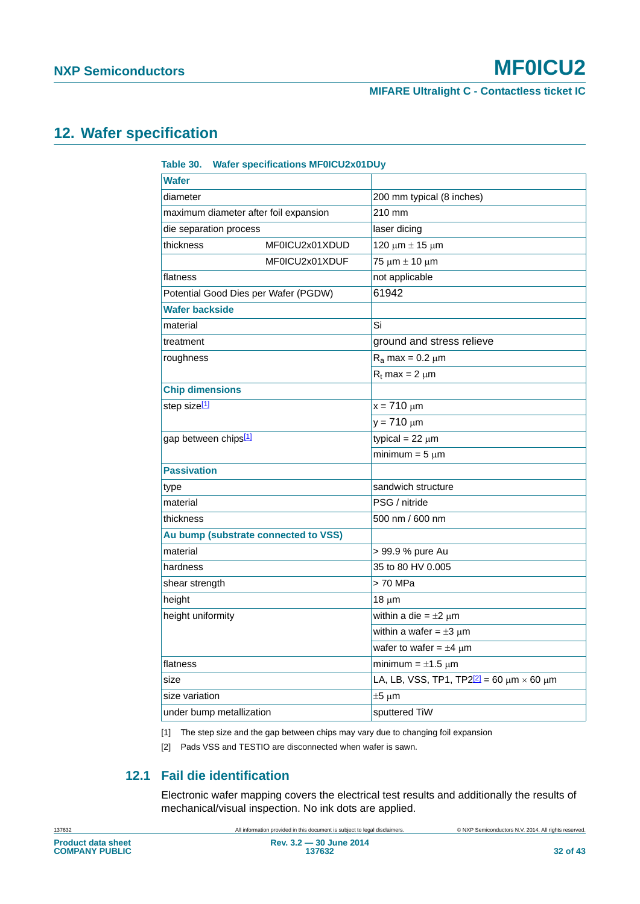### <span id="page-31-3"></span>**12. Wafer specification**

<span id="page-31-2"></span>

| <b>Wafer specifications MF0ICU2x01DUy</b><br>Table 30. |                                                                |  |  |
|--------------------------------------------------------|----------------------------------------------------------------|--|--|
| <b>Wafer</b>                                           |                                                                |  |  |
| diameter                                               | 200 mm typical (8 inches)                                      |  |  |
| maximum diameter after foil expansion                  | 210 mm                                                         |  |  |
| die separation process                                 | laser dicing                                                   |  |  |
| thickness<br>MF0ICU2x01XDUD                            | 120 μm $±$ 15 μm                                               |  |  |
| MF0ICU2x01XDUF                                         | $75 \mu m \pm 10 \mu m$                                        |  |  |
| flatness                                               | not applicable                                                 |  |  |
| Potential Good Dies per Wafer (PGDW)                   | 61942                                                          |  |  |
| Wafer backside                                         |                                                                |  |  |
| material                                               | Si                                                             |  |  |
| treatment                                              | ground and stress relieve                                      |  |  |
| roughness                                              | $R_a$ max = 0.2 $\mu$ m                                        |  |  |
|                                                        | $R_t$ max = 2 $\mu$ m                                          |  |  |
| <b>Chip dimensions</b>                                 |                                                                |  |  |
| step size <sup>[1]</sup>                               | $x = 710 \mu m$                                                |  |  |
|                                                        | $y = 710 \mu m$                                                |  |  |
| gap between chips <sup>[1]</sup>                       | typical = $22 \mu m$                                           |  |  |
|                                                        | minimum = $5 \mu m$                                            |  |  |
| <b>Passivation</b>                                     |                                                                |  |  |
| type                                                   | sandwich structure                                             |  |  |
| material                                               | PSG / nitride                                                  |  |  |
| thickness                                              | 500 nm / 600 nm                                                |  |  |
| Au bump (substrate connected to VSS)                   |                                                                |  |  |
| material                                               | > 99.9 % pure Au                                               |  |  |
| hardness                                               | 35 to 80 HV 0.005                                              |  |  |
| shear strength                                         | > 70 MPa                                                       |  |  |
| height                                                 | $18 \mu m$                                                     |  |  |
| height uniformity                                      | within a die = $\pm 2 \mu m$                                   |  |  |
|                                                        | within a wafer = $\pm 3 \mu m$                                 |  |  |
|                                                        | wafer to wafer = $\pm 4$ µm                                    |  |  |
| flatness                                               | minimum = $\pm 1.5 \mu$ m                                      |  |  |
| size                                                   | LA, LB, VSS, TP1, TP2 <sup>[2]</sup> = 60 $\mu$ m × 60 $\mu$ m |  |  |
| size variation                                         | $±5 \mu m$                                                     |  |  |
| under bump metallization                               | sputtered TiW                                                  |  |  |

<span id="page-31-0"></span>[1] The step size and the gap between chips may vary due to changing foil expansion

<span id="page-31-1"></span>[2] Pads VSS and TESTIO are disconnected when wafer is sawn.

### **12.1 Fail die identification**

Electronic wafer mapping covers the electrical test results and additionally the results of mechanical/visual inspection. No ink dots are applied.

<span id="page-31-4"></span>137632 All information provided in this document is subject to legal disclaimers. © NXP Semiconductors N.V. 2014. All rights reserved.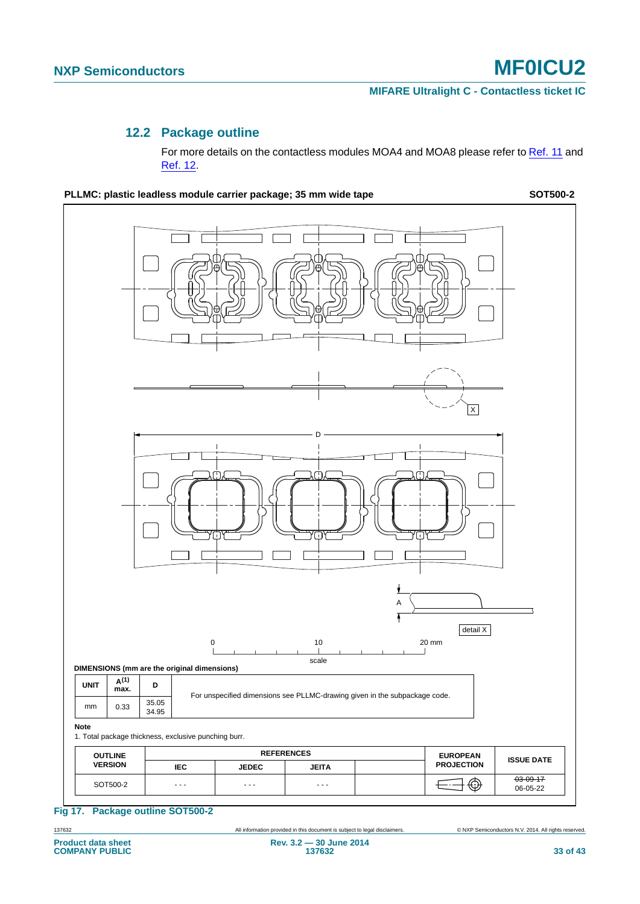#### **MIFARE Ultralight C - Contactless ticket IC**

#### **12.2 Package outline**

For more details on the contactless modules MOA4 and MOA8 please refer to [Ref. 11](#page-36-10) and [Ref. 12](#page-36-11).

<span id="page-32-1"></span>PLLMC: plastic leadless module carrier package; 35 mm wide tape **SOT500-2** SOT500-2

X DA T detail X 0 10 20 mm scale **DIMENSIONS (mm are the original dimensions)**  $\nu$ NIT  $\begin{vmatrix} A^{(1)} \end{vmatrix}$  D For unspecified dimensions see PLLMC-drawing given in the subpackage code. mm 0.33 35.05 34.95 **Note** 1. Total package thickness, exclusive punching burr. **OUTLINE** REFERENCES **EUROPEAN PROJECTION ISSUE DATE VERSION IEC JEDEC JEITA** SOT500-2 03-09-17 06-05-22 - - - - - - - - -

<span id="page-32-0"></span>**Fig 17. Package outline SOT500-2**

137632 All information provided in this document is subject to legal disclaimers. © NXP Semiconductors N.V. 2014. All rights reserved.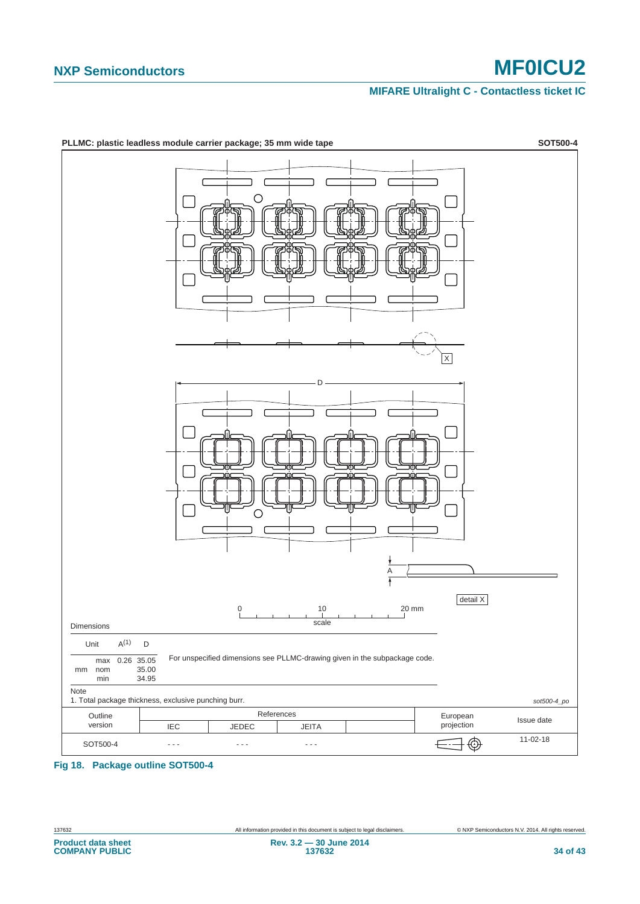#### **MIFARE Ultralight C - Contactless ticket IC**



#### <span id="page-33-0"></span>**Fig 18. Package outline SOT500-4**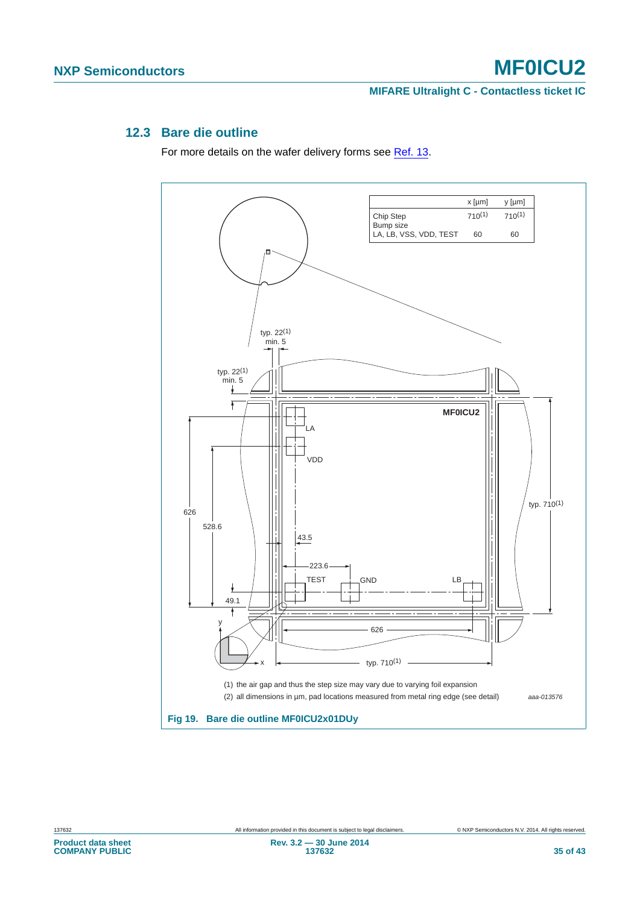#### <span id="page-34-1"></span>**12.3 Bare die outline**

For more details on the wafer delivery forms see [Ref. 13.](#page-36-12)

<span id="page-34-0"></span>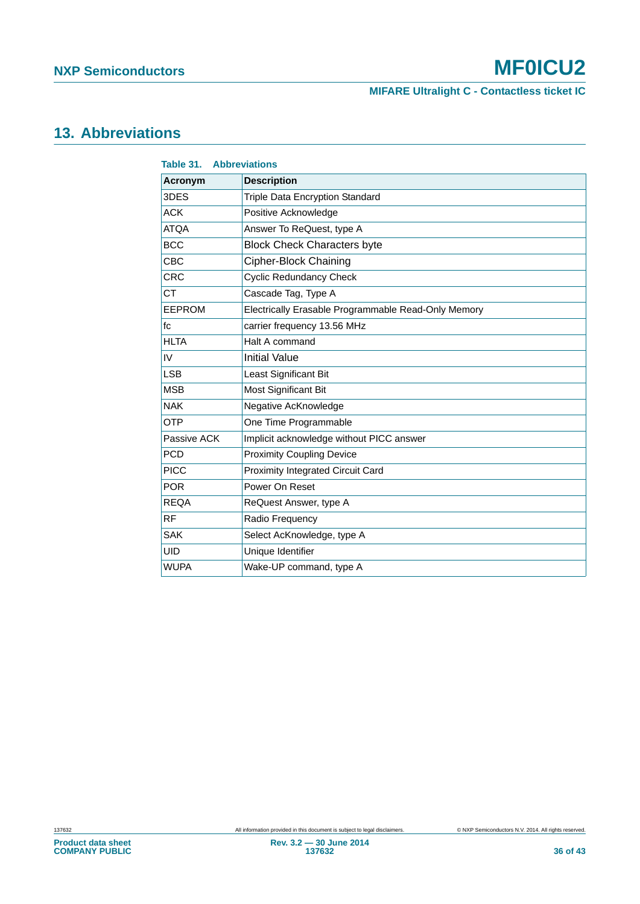**MIFARE Ultralight C - Contactless ticket IC**

## <span id="page-35-1"></span>**13. Abbreviations**

<span id="page-35-0"></span>

| Table 31.      | <b>Abbreviations</b>                                |
|----------------|-----------------------------------------------------|
| <b>Acronym</b> | <b>Description</b>                                  |
| 3DES           | Triple Data Encryption Standard                     |
| <b>ACK</b>     | Positive Acknowledge                                |
| <b>ATQA</b>    | Answer To ReQuest, type A                           |
| <b>BCC</b>     | <b>Block Check Characters byte</b>                  |
| <b>CBC</b>     | <b>Cipher-Block Chaining</b>                        |
| <b>CRC</b>     | <b>Cyclic Redundancy Check</b>                      |
| <b>CT</b>      | Cascade Tag, Type A                                 |
| <b>EEPROM</b>  | Electrically Erasable Programmable Read-Only Memory |
| fc             | carrier frequency 13.56 MHz                         |
| <b>HLTA</b>    | Halt A command                                      |
| IV             | <b>Initial Value</b>                                |
| <b>LSB</b>     | Least Significant Bit                               |
| <b>MSB</b>     | <b>Most Significant Bit</b>                         |
| <b>NAK</b>     | Negative AcKnowledge                                |
| <b>OTP</b>     | One Time Programmable                               |
| Passive ACK    | Implicit acknowledge without PICC answer            |
| <b>PCD</b>     | <b>Proximity Coupling Device</b>                    |
| <b>PICC</b>    | <b>Proximity Integrated Circuit Card</b>            |
| <b>POR</b>     | Power On Reset                                      |
| <b>REQA</b>    | ReQuest Answer, type A                              |
| <b>RF</b>      | Radio Frequency                                     |
| <b>SAK</b>     | Select AcKnowledge, type A                          |
| <b>UID</b>     | Unique Identifier                                   |
| <b>WUPA</b>    | Wake-UP command, type A                             |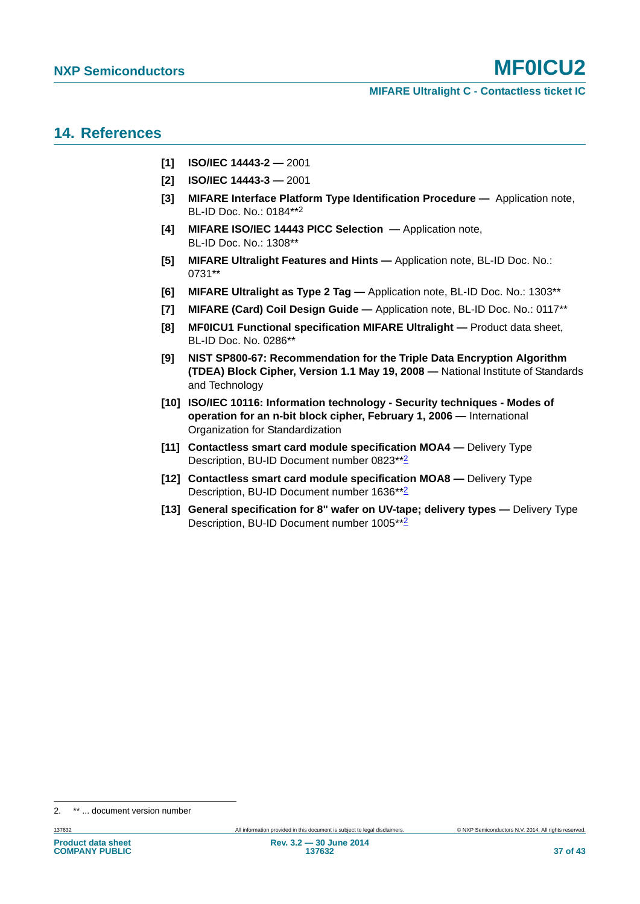### <span id="page-36-3"></span>**14. References**

- <span id="page-36-0"></span>**[1] ISO/IEC 14443-2 —** 2001
- <span id="page-36-1"></span>**[2] ISO/IEC 14443-3 —** 2001
- <span id="page-36-9"></span>**[3] MIFARE Interface Platform Type Identification Procedure —** Application note, BL-ID Doc. No.: 0184\*\*<sup>2</sup>
- <span id="page-36-4"></span>**[4] MIFARE ISO/IEC 14443 PICC Selection —** Application note, BL-ID Doc. No.: 1308\*\*
- **[5] MIFARE Ultralight Features and Hints** Application note, BL-ID Doc. No.: 0731\*\*
- <span id="page-36-5"></span>**[6] MIFARE Ultralight as Type 2 Tag —** Application note, BL-ID Doc. No.: 1303\*\*
- <span id="page-36-2"></span>**[7] MIFARE (Card) Coil Design Guide —** Application note, BL-ID Doc. No.: 0117\*\*
- <span id="page-36-6"></span>**[8] MF0ICU1 Functional specification MIFARE Ultralight — Product data sheet,** BL-ID Doc. No. 0286\*\*
- <span id="page-36-7"></span>**[9] NIST SP800-67: Recommendation for the Triple Data Encryption Algorithm (TDEA) Block Cipher, Version 1.1 May 19, 2008 —** National Institute of Standards and Technology
- <span id="page-36-8"></span>**[10] ISO/IEC 10116: Information technology - Security techniques - Modes of operation for an n-bit block cipher, February 1, 2006 —** International Organization for Standardization
- <span id="page-36-10"></span>**[11] Contactless smart card module specification MOA4 — Delivery Type** Description, BU-ID Document number 0823\*\*[2](#page-36-9)
- <span id="page-36-11"></span>**[12] Contactless smart card module specification MOA8 —** Delivery Type Description, BU-ID Document number 1636\*\*[2](#page-36-9)
- <span id="page-36-12"></span>**[13] General specification for 8" wafer on UV-tape; delivery types —** Delivery Type Description, BU-ID Document number 1005\*\*[2](#page-36-9)

<sup>2. \*\* ...</sup> document version number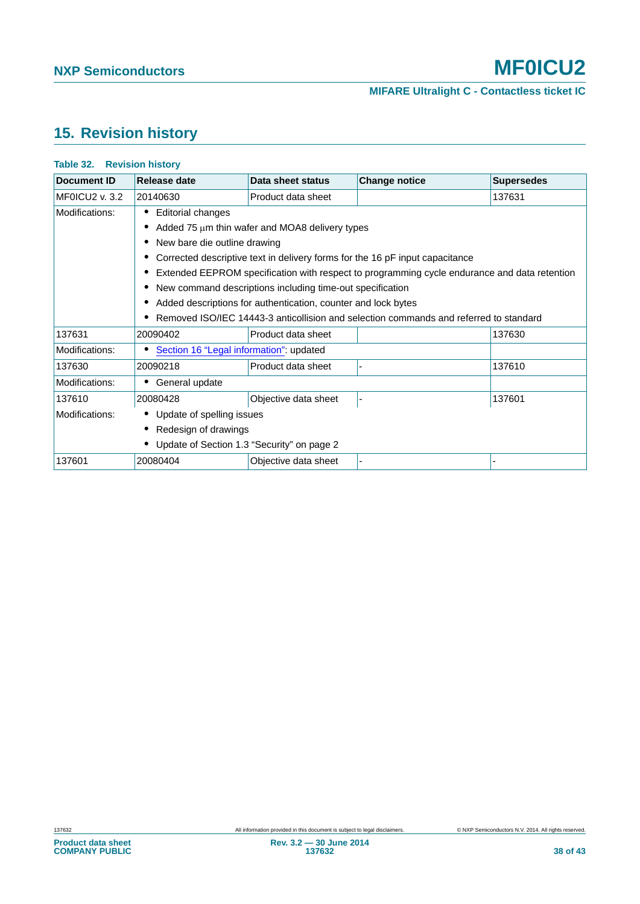## <span id="page-37-1"></span>**15. Revision history**

| <b>Document ID</b>    | Release date                                                                                 | Data sheet status                                         | <b>Change notice</b>                                                                  | <b>Supersedes</b> |  |  |
|-----------------------|----------------------------------------------------------------------------------------------|-----------------------------------------------------------|---------------------------------------------------------------------------------------|-------------------|--|--|
| <b>MF0ICU2 v. 3.2</b> | 20140630                                                                                     | Product data sheet                                        |                                                                                       | 137631            |  |  |
| Modifications:        | <b>Editorial changes</b>                                                                     |                                                           |                                                                                       |                   |  |  |
|                       |                                                                                              | Added 75 $\mu$ m thin wafer and MOA8 delivery types       |                                                                                       |                   |  |  |
|                       | New bare die outline drawing                                                                 |                                                           |                                                                                       |                   |  |  |
|                       |                                                                                              |                                                           | Corrected descriptive text in delivery forms for the 16 pF input capacitance          |                   |  |  |
|                       | Extended EEPROM specification with respect to programming cycle endurance and data retention |                                                           |                                                                                       |                   |  |  |
|                       |                                                                                              | New command descriptions including time-out specification |                                                                                       |                   |  |  |
|                       | Added descriptions for authentication, counter and lock bytes                                |                                                           |                                                                                       |                   |  |  |
|                       |                                                                                              |                                                           | Removed ISO/IEC 14443-3 anticollision and selection commands and referred to standard |                   |  |  |
| 137631                | 20090402                                                                                     | Product data sheet                                        |                                                                                       | 137630            |  |  |
| Modifications:        | Section 16 "Legal information": updated                                                      |                                                           |                                                                                       |                   |  |  |
| 137630                | 20090218                                                                                     | Product data sheet                                        |                                                                                       | 137610            |  |  |
| Modifications:        | General update                                                                               |                                                           |                                                                                       |                   |  |  |
| 137610                | 20080428                                                                                     | Objective data sheet                                      |                                                                                       | 137601            |  |  |
| Modifications:        | • Update of spelling issues                                                                  |                                                           |                                                                                       |                   |  |  |
|                       | Redesign of drawings                                                                         |                                                           |                                                                                       |                   |  |  |
|                       | Update of Section 1.3 "Security" on page 2                                                   |                                                           |                                                                                       |                   |  |  |
| 137601                | 20080404                                                                                     | Objective data sheet                                      |                                                                                       |                   |  |  |

## <span id="page-37-0"></span>**Table 32. Revision history**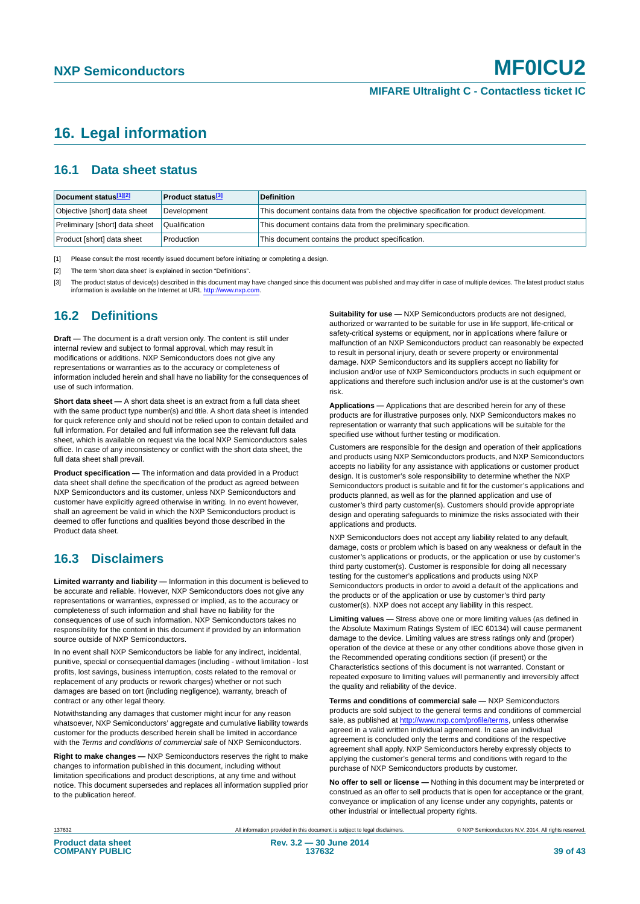### <span id="page-38-0"></span>**16. Legal information**

#### <span id="page-38-4"></span>**16.1 Data sheet status**

| Document status[1][2]          | <b>Product status</b> <sup>[3]</sup> | <b>Definition</b>                                                                     |
|--------------------------------|--------------------------------------|---------------------------------------------------------------------------------------|
| Objective [short] data sheet   | Development                          | This document contains data from the objective specification for product development. |
| Preliminary [short] data sheet | Qualification                        | This document contains data from the preliminary specification.                       |
| Product [short] data sheet     | Production                           | This document contains the product specification.                                     |

<span id="page-38-1"></span>[1] Please consult the most recently issued document before initiating or completing a design.

<span id="page-38-2"></span>[2] The term 'short data sheet' is explained in section "Definitions".

<span id="page-38-3"></span>[3] The product status of device(s) described in this document may have changed since this document was published and may differ in case of multiple devices. The latest product status<br>information is available on the Intern

#### <span id="page-38-5"></span>**16.2 Definitions**

**Draft —** The document is a draft version only. The content is still under internal review and subject to formal approval, which may result in modifications or additions. NXP Semiconductors does not give any representations or warranties as to the accuracy or completeness of information included herein and shall have no liability for the consequences of use of such information.

**Short data sheet —** A short data sheet is an extract from a full data sheet with the same product type number(s) and title. A short data sheet is intended for quick reference only and should not be relied upon to contain detailed and full information. For detailed and full information see the relevant full data sheet, which is available on request via the local NXP Semiconductors sales office. In case of any inconsistency or conflict with the short data sheet, the full data sheet shall prevail.

**Product specification —** The information and data provided in a Product data sheet shall define the specification of the product as agreed between NXP Semiconductors and its customer, unless NXP Semiconductors and customer have explicitly agreed otherwise in writing. In no event however, shall an agreement be valid in which the NXP Semiconductors product is deemed to offer functions and qualities beyond those described in the Product data sheet.

#### <span id="page-38-6"></span>**16.3 Disclaimers**

**Limited warranty and liability —** Information in this document is believed to be accurate and reliable. However, NXP Semiconductors does not give any representations or warranties, expressed or implied, as to the accuracy or completeness of such information and shall have no liability for the consequences of use of such information. NXP Semiconductors takes no responsibility for the content in this document if provided by an information source outside of NXP Semiconductors.

In no event shall NXP Semiconductors be liable for any indirect, incidental, punitive, special or consequential damages (including - without limitation - lost profits, lost savings, business interruption, costs related to the removal or replacement of any products or rework charges) whether or not such damages are based on tort (including negligence), warranty, breach of contract or any other legal theory.

Notwithstanding any damages that customer might incur for any reason whatsoever, NXP Semiconductors' aggregate and cumulative liability towards customer for the products described herein shall be limited in accordance with the *Terms and conditions of commercial sale* of NXP Semiconductors.

**Right to make changes —** NXP Semiconductors reserves the right to make changes to information published in this document, including without limitation specifications and product descriptions, at any time and without notice. This document supersedes and replaces all information supplied prior to the publication hereof.

**Suitability for use —** NXP Semiconductors products are not designed, authorized or warranted to be suitable for use in life support, life-critical or safety-critical systems or equipment, nor in applications where failure or malfunction of an NXP Semiconductors product can reasonably be expected to result in personal injury, death or severe property or environmental damage. NXP Semiconductors and its suppliers accept no liability for inclusion and/or use of NXP Semiconductors products in such equipment or applications and therefore such inclusion and/or use is at the customer's own risk.

**Applications —** Applications that are described herein for any of these products are for illustrative purposes only. NXP Semiconductors makes no representation or warranty that such applications will be suitable for the specified use without further testing or modification.

Customers are responsible for the design and operation of their applications and products using NXP Semiconductors products, and NXP Semiconductors accepts no liability for any assistance with applications or customer product design. It is customer's sole responsibility to determine whether the NXP Semiconductors product is suitable and fit for the customer's applications and products planned, as well as for the planned application and use of customer's third party customer(s). Customers should provide appropriate design and operating safeguards to minimize the risks associated with their applications and products.

NXP Semiconductors does not accept any liability related to any default. damage, costs or problem which is based on any weakness or default in the customer's applications or products, or the application or use by customer's third party customer(s). Customer is responsible for doing all necessary testing for the customer's applications and products using NXP Semiconductors products in order to avoid a default of the applications and the products or of the application or use by customer's third party customer(s). NXP does not accept any liability in this respect.

**Limiting values —** Stress above one or more limiting values (as defined in the Absolute Maximum Ratings System of IEC 60134) will cause permanent damage to the device. Limiting values are stress ratings only and (proper) operation of the device at these or any other conditions above those given in the Recommended operating conditions section (if present) or the Characteristics sections of this document is not warranted. Constant or repeated exposure to limiting values will permanently and irreversibly affect the quality and reliability of the device.

**Terms and conditions of commercial sale —** NXP Semiconductors products are sold subject to the general terms and conditions of commercial sale, as published at<http://www.nxp.com/profile/terms>, unless otherwise agreed in a valid written individual agreement. In case an individual agreement is concluded only the terms and conditions of the respective agreement shall apply. NXP Semiconductors hereby expressly objects to applying the customer's general terms and conditions with regard to the purchase of NXP Semiconductors products by customer.

**No offer to sell or license —** Nothing in this document may be interpreted or construed as an offer to sell products that is open for acceptance or the grant, conveyance or implication of any license under any copyrights, patents or other industrial or intellectual property rights.

137632 All information provided in this document is subject to legal disclaimers. © NXP Semiconductors N.V. 2014. All rights reserved.

**Rev. 3.2 — 30 June 2014 137632 39 of 43**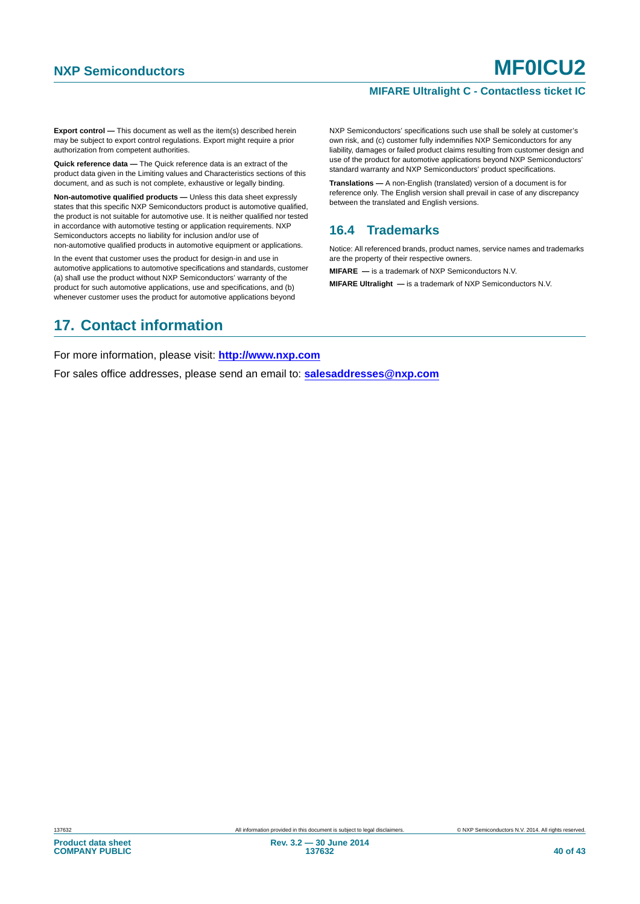#### **MIFARE Ultralight C - Contactless ticket IC**

**Export control —** This document as well as the item(s) described herein may be subject to export control regulations. Export might require a prior authorization from competent authorities.

**Quick reference data —** The Quick reference data is an extract of the product data given in the Limiting values and Characteristics sections of this document, and as such is not complete, exhaustive or legally binding.

**Non-automotive qualified products —** Unless this data sheet expressly states that this specific NXP Semiconductors product is automotive qualified, the product is not suitable for automotive use. It is neither qualified nor tested in accordance with automotive testing or application requirements. NXP Semiconductors accepts no liability for inclusion and/or use of non-automotive qualified products in automotive equipment or applications.

In the event that customer uses the product for design-in and use in automotive applications to automotive specifications and standards, customer (a) shall use the product without NXP Semiconductors' warranty of the product for such automotive applications, use and specifications, and (b) whenever customer uses the product for automotive applications beyond

### <span id="page-39-1"></span>**17. Contact information**

NXP Semiconductors' specifications such use shall be solely at customer's own risk, and (c) customer fully indemnifies NXP Semiconductors for any liability, damages or failed product claims resulting from customer design and use of the product for automotive applications beyond NXP Semiconductors' standard warranty and NXP Semiconductors' product specifications.

**Translations —** A non-English (translated) version of a document is for reference only. The English version shall prevail in case of any discrepancy between the translated and English versions.

#### <span id="page-39-0"></span>**16.4 Trademarks**

Notice: All referenced brands, product names, service names and trademarks are the property of their respective owners.

**MIFARE —** is a trademark of NXP Semiconductors N.V.

**MIFARE Ultralight —** is a trademark of NXP Semiconductors N.V.

For more information, please visit: **http://www.nxp.com**

For sales office addresses, please send an email to: **salesaddresses@nxp.com**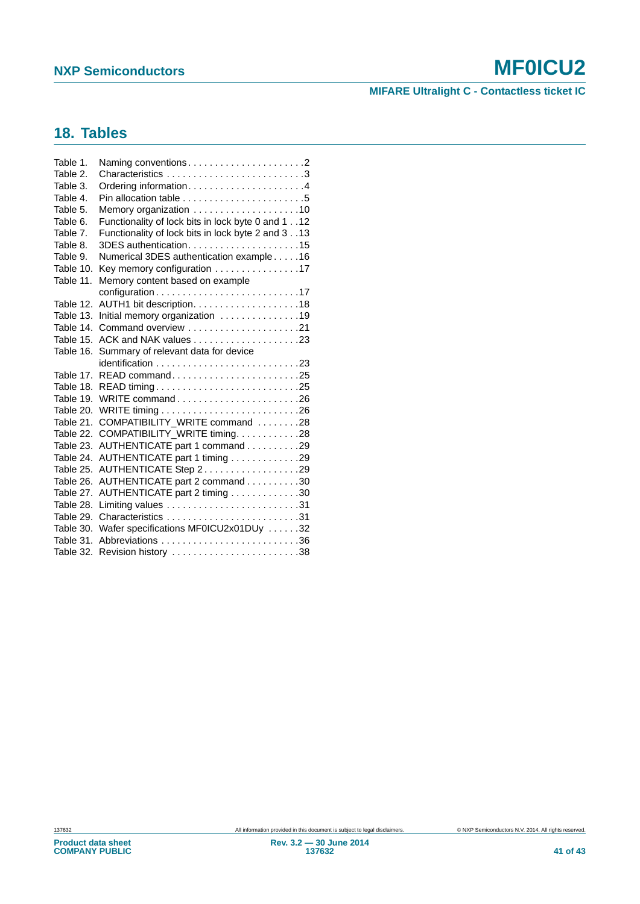### **MIFARE Ultralight C - Contactless ticket IC**

## <span id="page-40-0"></span>**18. Tables**

| Table 1.  | Naming conventions2                                |
|-----------|----------------------------------------------------|
| Table 2.  |                                                    |
| Table 3.  |                                                    |
| Table 4.  |                                                    |
| Table 5.  |                                                    |
| Table 6.  | Functionality of lock bits in lock byte 0 and 1 12 |
| Table 7.  | Functionality of lock bits in lock byte 2 and 3 13 |
| Table 8.  | 3DES authentication15                              |
| Table 9.  | Numerical 3DES authentication example16            |
| Table 10. | Key memory configuration 17                        |
| Table 11. | Memory content based on example                    |
|           | configuration17                                    |
| Table 12. |                                                    |
| Table 13. | Initial memory organization 19                     |
| Table 14. | Command overview 21                                |
| Table 15. |                                                    |
| Table 16. | Summary of relevant data for device                |
|           |                                                    |
| Table 17. | READ command25                                     |
| Table 18. | READ timing25                                      |
| Table 19. |                                                    |
| Table 20. |                                                    |
| Table 21. | COMPATIBILITY WRITE command 28                     |
| Table 22. | COMPATIBILITY_WRITE timing. 28                     |
| Table 23. | AUTHENTICATE part 1 command 29                     |
| Table 24. | AUTHENTICATE part 1 timing 29                      |
| Table 25. | AUTHENTICATE Step 229                              |
| Table 26. | AUTHENTICATE part 2 command 30                     |
| Table 27. | AUTHENTICATE part 2 timing 30                      |
| Table 28. |                                                    |
| Table 29. |                                                    |
| Table 30. | Wafer specifications MF0ICU2x01DUy 32              |
| Table 31. | Abbreviations 36                                   |
| Table 32. |                                                    |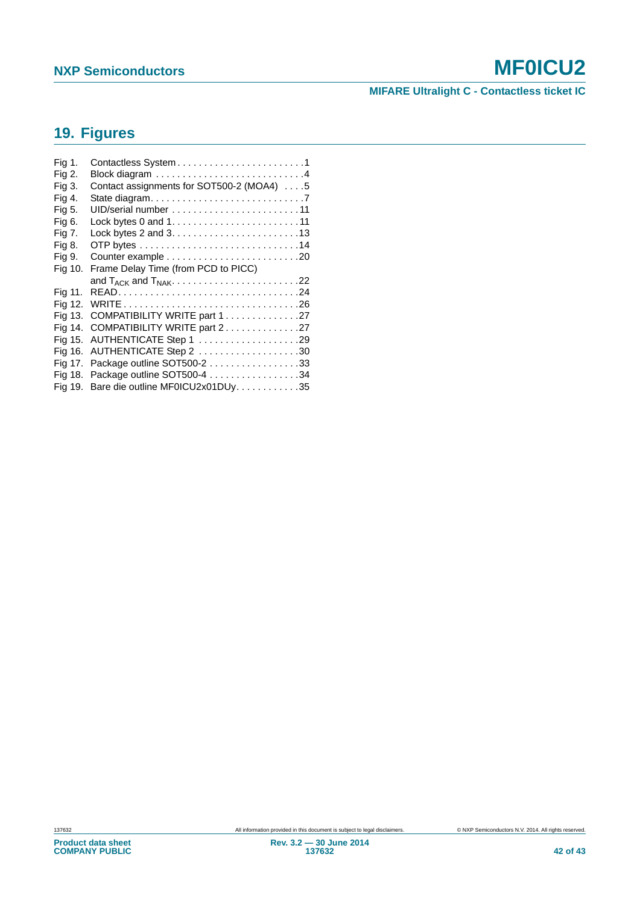## **MIFARE Ultralight C - Contactless ticket IC**

## <span id="page-41-0"></span>**19. Figures**

| Fig 1.  |                                           |
|---------|-------------------------------------------|
| Fig 2.  |                                           |
| Fig 3.  | Contact assignments for SOT500-2 (MOA4) 5 |
| Fig 4.  |                                           |
| Fig 5.  |                                           |
| Fig 6.  |                                           |
| Fig 7.  |                                           |
| Fig 8.  |                                           |
| Fig 9.  |                                           |
| Fig 10. | Frame Delay Time (from PCD to PICC)       |
|         |                                           |
|         | and $T_{ACK}$ and $T_{NAK}$ 22            |
| Fig 11. |                                           |
| Fig 12. |                                           |
| Fig 13. | COMPATIBILITY WRITE part 127              |
| Fig 14. | COMPATIBILITY WRITE part 227              |
| Fig 15. | AUTHENTICATE Step 1 29                    |
| Fig 16. | AUTHENTICATE Step 2 30                    |
| Fig 17. | Package outline SOT500-2 33               |
| Fig 18. | Package outline SOT500-4 34               |
| Fig 19. | Bare die outline MF0ICU2x01DUy. 35        |